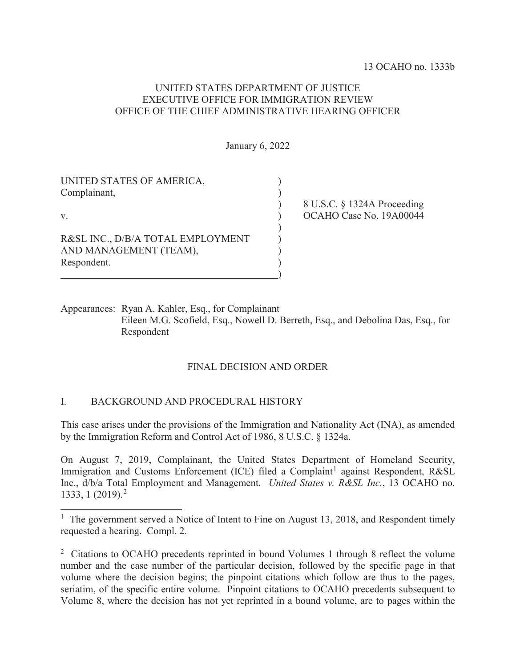# UNITED STATES DEPARTMENT OF JUSTICE EXECUTIVE OFFICE FOR IMMIGRATION REVIEW OFFICE OF THE CHIEF ADMINISTRATIVE HEARING OFFICER

January 6, 2022

| UNITED STATES OF AMERICA,<br>Complainant, |                                                        |
|-------------------------------------------|--------------------------------------------------------|
| V.                                        | 8 U.S.C. § 1324A Proceeding<br>OCAHO Case No. 19A00044 |
| R&SL INC., D/B/A TOTAL EMPLOYMENT         |                                                        |
| AND MANAGEMENT (TEAM),                    |                                                        |
| Respondent.                               |                                                        |
|                                           |                                                        |

Appearances: Ryan A. Kahler, Esq., for Complainant Eileen M.G. Scofield, Esq., Nowell D. Berreth, Esq., and Debolina Das, Esq., for Respondent

# FINAL DECISION AND ORDER

## I. BACKGROUND AND PROCEDURAL HISTORY

 $\overline{a}$ 

This case arises under the provisions of the Immigration and Nationality Act (INA), as amended by the Immigration Reform and Control Act of 1986, 8 U.S.C. § 1324a.

On August 7, 2019, Complainant, the United States Department of Homeland Security, Immigration and Customs Enforcement (ICE) filed a Complaint<sup>1</sup> against Respondent, R&SL Inc., d/b/a Total Employment and Management. *United States v. R&SL Inc.*, 13 OCAHO no. 1333, 1 (2019).<sup>2</sup>

<sup>&</sup>lt;sup>1</sup> The government served a Notice of Intent to Fine on August 13, 2018, and Respondent timely requested a hearing. Compl. 2.

<sup>&</sup>lt;sup>2</sup> Citations to OCAHO precedents reprinted in bound Volumes 1 through 8 reflect the volume number and the case number of the particular decision, followed by the specific page in that volume where the decision begins; the pinpoint citations which follow are thus to the pages, seriatim, of the specific entire volume. Pinpoint citations to OCAHO precedents subsequent to Volume 8, where the decision has not yet reprinted in a bound volume, are to pages within the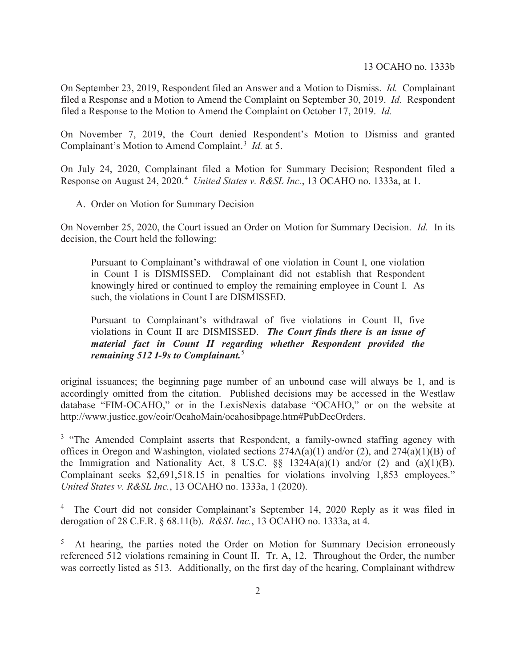On September 23, 2019, Respondent filed an Answer and a Motion to Dismiss. *Id.* Complainant filed a Response and a Motion to Amend the Complaint on September 30, 2019. *Id.* Respondent filed a Response to the Motion to Amend the Complaint on October 17, 2019. *Id.*

On November 7, 2019, the Court denied Respondent's Motion to Dismiss and granted Complainant's Motion to Amend Complaint.<sup>3</sup> *Id.* at 5.

On July 24, 2020, Complainant filed a Motion for Summary Decision; Respondent filed a Response on August 24, 2020.<sup>4</sup> *United States v. R&SL Inc.*, 13 OCAHO no. 1333a, at 1.

A. Order on Motion for Summary Decision

 $\overline{a}$ 

On November 25, 2020, the Court issued an Order on Motion for Summary Decision. *Id.* In its decision, the Court held the following:

Pursuant to Complainant's withdrawal of one violation in Count I, one violation in Count I is DISMISSED. Complainant did not establish that Respondent knowingly hired or continued to employ the remaining employee in Count I. As such, the violations in Count I are DISMISSED.

Pursuant to Complainant's withdrawal of five violations in Count II, five violations in Count II are DISMISSED. *The Court finds there is an issue of material fact in Count II regarding whether Respondent provided the remaining 512 I-9s to Complainant.*<sup>5</sup>

original issuances; the beginning page number of an unbound case will always be 1, and is accordingly omitted from the citation. Published decisions may be accessed in the Westlaw database "FIM-OCAHO," or in the LexisNexis database "OCAHO," or on the website at http://www.justice.gov/eoir/OcahoMain/ocahosibpage.htm#PubDecOrders.

<sup>3</sup> "The Amended Complaint asserts that Respondent, a family-owned staffing agency with offices in Oregon and Washington, violated sections  $274A(a)(1)$  and/or (2), and  $274(a)(1)(B)$  of the Immigration and Nationality Act, 8 US.C.  $\S\S$  1324A(a)(1) and/or (2) and (a)(1)(B). Complainant seeks \$2,691,518.15 in penalties for violations involving 1,853 employees." *United States v. R&SL Inc.*, 13 OCAHO no. 1333a, 1 (2020).

<sup>4</sup> The Court did not consider Complainant's September 14, 2020 Reply as it was filed in derogation of 28 C.F.R. § 68.11(b). *R&SL Inc.*, 13 OCAHO no. 1333a, at 4.

5 At hearing, the parties noted the Order on Motion for Summary Decision erroneously referenced 512 violations remaining in Count II. Tr. A, 12. Throughout the Order, the number was correctly listed as 513. Additionally, on the first day of the hearing, Complainant withdrew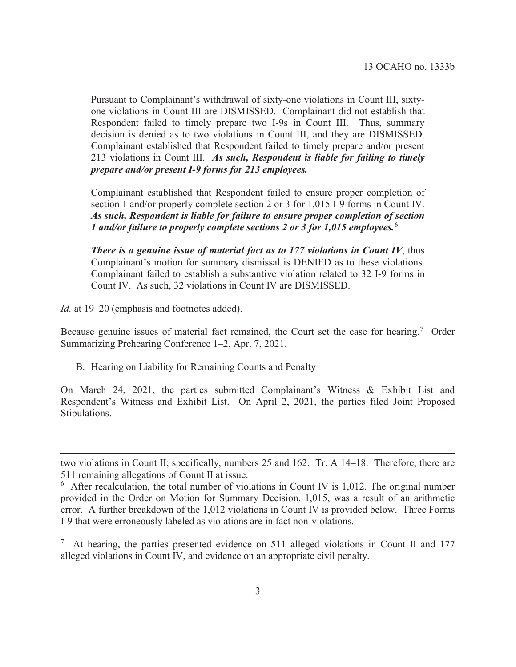Pursuant to Complainant's withdrawal of sixty-one violations in Count III, sixtyone violations in Count III are DISMISSED. Complainant did not establish that Respondent failed to timely prepare two I-9s in Count III. Thus, summary decision is denied as to two violations in Count III, and they are DISMISSED. Complainant established that Respondent failed to timely prepare and/or present 213 violations in Count III. *As such, Respondent is liable for failing to timely prepare and/or present I-9 forms for 213 employees.*

Complainant established that Respondent failed to ensure proper completion of section 1 and/or properly complete section 2 or 3 for 1,015 I-9 forms in Count IV. *As such, Respondent is liable for failure to ensure proper completion of section 1 and/or failure to properly complete sections 2 or 3 for 1,015 employees.*<sup>6</sup>

*There is a genuine issue of material fact as to 177 violations in Count IV*, thus Complainant's motion for summary dismissal is DENIED as to these violations. Complainant failed to establish a substantive violation related to 32 I-9 forms in Count IV. As such, 32 violations in Count IV are DISMISSED.

*Id.* at 19–20 (emphasis and footnotes added).

 $\overline{a}$ 

Because genuine issues of material fact remained, the Court set the case for hearing.<sup>7</sup> Order Summarizing Prehearing Conference 1–2, Apr. 7, 2021.

B. Hearing on Liability for Remaining Counts and Penalty

On March 24, 2021, the parties submitted Complainant's Witness & Exhibit List and Respondent's Witness and Exhibit List. On April 2, 2021, the parties filed Joint Proposed Stipulations.

two violations in Count II; specifically, numbers 25 and 162. Tr. A 14–18. Therefore, there are 511 remaining allegations of Count II at issue.

 $6$  After recalculation, the total number of violations in Count IV is 1,012. The original number provided in the Order on Motion for Summary Decision, 1,015, was a result of an arithmetic error. A further breakdown of the 1,012 violations in Count IV is provided below. Three Forms I-9 that were erroneously labeled as violations are in fact non-violations.

 $^7$  At hearing, the parties presented evidence on 511 alleged violations in Count II and 177 alleged violations in Count IV, and evidence on an appropriate civil penalty.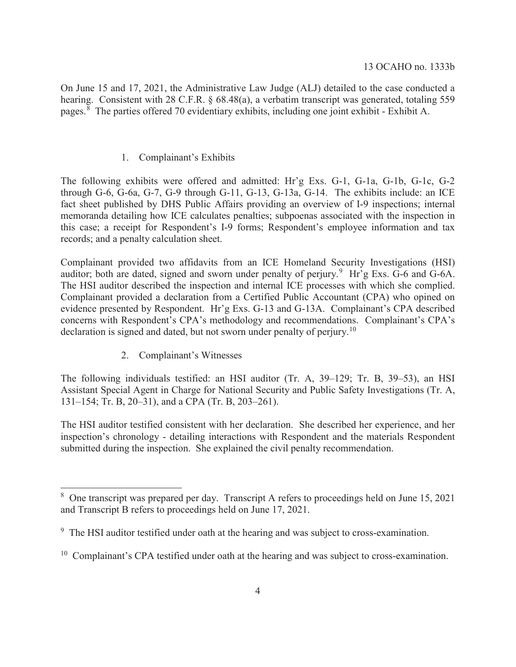### 13 OCAHO no. 1333b

On June 15 and 17, 2021, the Administrative Law Judge (ALJ) detailed to the case conducted a hearing. Consistent with 28 C.F.R. § 68.48(a), a verbatim transcript was generated, totaling 559 pages.<sup>8</sup> The parties offered 70 evidentiary exhibits, including one joint exhibit - Exhibit A.

### 1. Complainant's Exhibits

The following exhibits were offered and admitted: Hr'g Exs. G-1, G-1a, G-1b, G-1c, G-2 through G-6, G-6a, G-7, G-9 through G-11, G-13, G-13a, G-14. The exhibits include: an ICE fact sheet published by DHS Public Affairs providing an overview of I-9 inspections; internal memoranda detailing how ICE calculates penalties; subpoenas associated with the inspection in this case; a receipt for Respondent's I-9 forms; Respondent's employee information and tax records; and a penalty calculation sheet.

Complainant provided two affidavits from an ICE Homeland Security Investigations (HSI) auditor; both are dated, signed and sworn under penalty of perjury.<sup>9</sup> Hr'g Exs. G-6 and G-6A. The HSI auditor described the inspection and internal ICE processes with which she complied. Complainant provided a declaration from a Certified Public Accountant (CPA) who opined on evidence presented by Respondent. Hr'g Exs. G-13 and G-13A. Complainant's CPA described concerns with Respondent's CPA's methodology and recommendations. Complainant's CPA's declaration is signed and dated, but not sworn under penalty of perjury.<sup>10</sup>

2. Complainant's Witnesses

 $\overline{a}$ 

The following individuals testified: an HSI auditor (Tr. A, 39–129; Tr. B, 39–53), an HSI Assistant Special Agent in Charge for National Security and Public Safety Investigations (Tr. A, 131–154; Tr. B, 20–31), and a CPA (Tr. B, 203–261).

The HSI auditor testified consistent with her declaration. She described her experience, and her inspection's chronology - detailing interactions with Respondent and the materials Respondent submitted during the inspection. She explained the civil penalty recommendation.

<sup>&</sup>lt;sup>8</sup> One transcript was prepared per day. Transcript A refers to proceedings held on June 15, 2021 and Transcript B refers to proceedings held on June 17, 2021.

 $9\text{ }$  The HSI auditor testified under oath at the hearing and was subject to cross-examination.

 $10$  Complainant's CPA testified under oath at the hearing and was subject to cross-examination.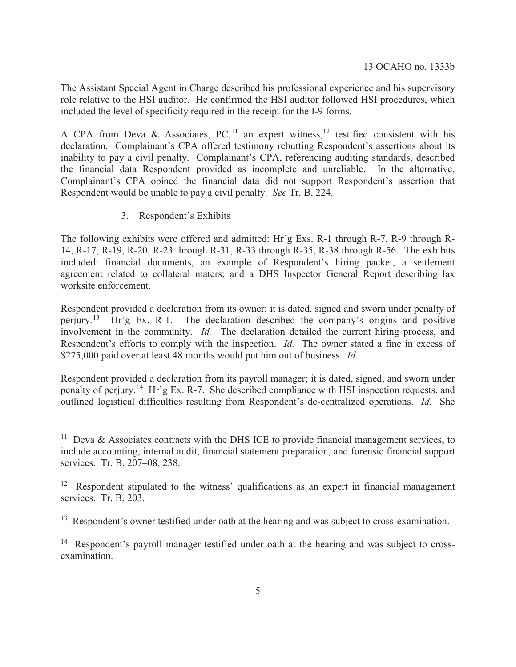The Assistant Special Agent in Charge described his professional experience and his supervisory role relative to the HSI auditor. He confirmed the HSI auditor followed HSI procedures, which included the level of specificity required in the receipt for the I-9 forms.

A CPA from Deva & Associates,  $PC<sub>11</sub><sup>11</sup>$  an expert witness,<sup>12</sup> testified consistent with his declaration. Complainant's CPA offered testimony rebutting Respondent's assertions about its inability to pay a civil penalty. Complainant's CPA, referencing auditing standards, described the financial data Respondent provided as incomplete and unreliable. In the alternative, Complainant's CPA opined the financial data did not support Respondent's assertion that Respondent would be unable to pay a civil penalty. *See* Tr. B, 224.

3. Respondent's Exhibits

 $\overline{a}$ 

The following exhibits were offered and admitted: Hr'g Exs. R-1 through R-7, R-9 through R-14, R-17, R-19, R-20, R-23 through R-31, R-33 through R-35, R-38 through R-56. The exhibits included: financial documents, an example of Respondent's hiring packet, a settlement agreement related to collateral maters; and a DHS Inspector General Report describing lax worksite enforcement.

Respondent provided a declaration from its owner; it is dated, signed and sworn under penalty of perjury.<sup>13</sup> Hr'g Ex. R-1. The declaration described the company's origins and positive involvement in the community. *Id.* The declaration detailed the current hiring process, and Respondent's efforts to comply with the inspection. *Id.* The owner stated a fine in excess of \$275,000 paid over at least 48 months would put him out of business. *Id.*

Respondent provided a declaration from its payroll manager; it is dated, signed, and sworn under penalty of perjury.14 Hr'g Ex. R-7. She described compliance with HSI inspection requests, and outlined logistical difficulties resulting from Respondent's de-centralized operations. *Id.* She

<sup>&</sup>lt;sup>11</sup> Deva & Associates contracts with the DHS ICE to provide financial management services, to include accounting, internal audit, financial statement preparation, and forensic financial support services. Tr. B, 207–08, 238.

 $12$  Respondent stipulated to the witness' qualifications as an expert in financial management services. Tr. B, 203.

<sup>&</sup>lt;sup>13</sup> Respondent's owner testified under oath at the hearing and was subject to cross-examination.

<sup>&</sup>lt;sup>14</sup> Respondent's payroll manager testified under oath at the hearing and was subject to crossexamination.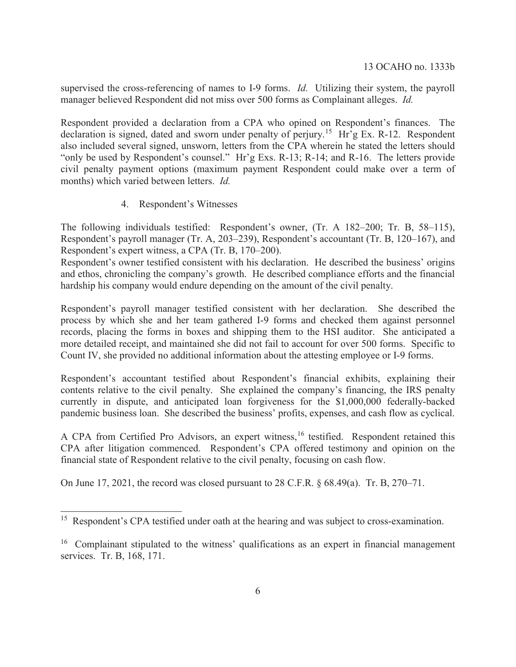supervised the cross-referencing of names to I-9 forms. *Id.* Utilizing their system, the payroll manager believed Respondent did not miss over 500 forms as Complainant alleges. *Id.*

Respondent provided a declaration from a CPA who opined on Respondent's finances. The declaration is signed, dated and sworn under penalty of perjury.<sup>15</sup> Hr'g Ex. R-12. Respondent also included several signed, unsworn, letters from the CPA wherein he stated the letters should "only be used by Respondent's counsel." Hr'g Exs. R-13; R-14; and R-16. The letters provide civil penalty payment options (maximum payment Respondent could make over a term of months) which varied between letters. *Id.* 

4. Respondent's Witnesses

 $\overline{a}$ 

The following individuals testified: Respondent's owner, (Tr. A 182–200; Tr. B, 58–115), Respondent's payroll manager (Tr. A, 203–239), Respondent's accountant (Tr. B, 120–167), and Respondent's expert witness, a CPA (Tr. B, 170–200).

Respondent's owner testified consistent with his declaration. He described the business' origins and ethos, chronicling the company's growth. He described compliance efforts and the financial hardship his company would endure depending on the amount of the civil penalty.

Respondent's payroll manager testified consistent with her declaration. She described the process by which she and her team gathered I-9 forms and checked them against personnel records, placing the forms in boxes and shipping them to the HSI auditor. She anticipated a more detailed receipt, and maintained she did not fail to account for over 500 forms. Specific to Count IV, she provided no additional information about the attesting employee or I-9 forms.

Respondent's accountant testified about Respondent's financial exhibits, explaining their contents relative to the civil penalty. She explained the company's financing, the IRS penalty currently in dispute, and anticipated loan forgiveness for the \$1,000,000 federally-backed pandemic business loan. She described the business' profits, expenses, and cash flow as cyclical.

A CPA from Certified Pro Advisors, an expert witness, <sup>16</sup> testified. Respondent retained this CPA after litigation commenced. Respondent's CPA offered testimony and opinion on the financial state of Respondent relative to the civil penalty, focusing on cash flow.

On June 17, 2021, the record was closed pursuant to 28 C.F.R. § 68.49(a). Tr. B, 270–71.

<sup>&</sup>lt;sup>15</sup> Respondent's CPA testified under oath at the hearing and was subject to cross-examination.

 $16$  Complainant stipulated to the witness' qualifications as an expert in financial management services. Tr. B, 168, 171.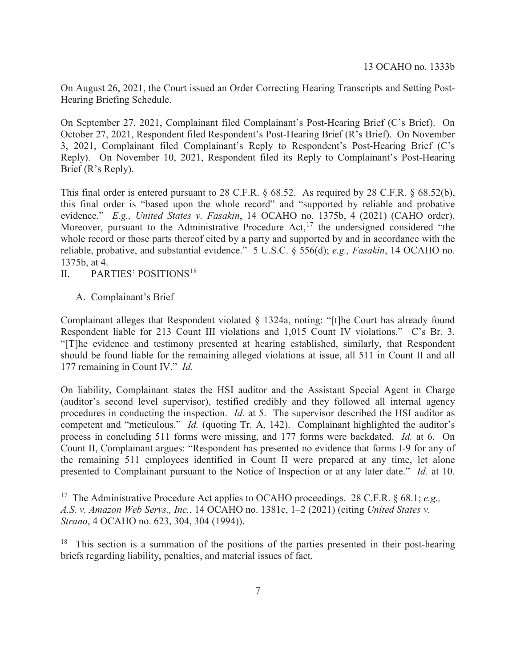On August 26, 2021, the Court issued an Order Correcting Hearing Transcripts and Setting Post-Hearing Briefing Schedule.

On September 27, 2021, Complainant filed Complainant's Post-Hearing Brief (C's Brief). On October 27, 2021, Respondent filed Respondent's Post-Hearing Brief (R's Brief). On November 3, 2021, Complainant filed Complainant's Reply to Respondent's Post-Hearing Brief (C's Reply). On November 10, 2021, Respondent filed its Reply to Complainant's Post-Hearing Brief (R's Reply).

This final order is entered pursuant to 28 C.F.R.  $\S$  68.52. As required by 28 C.F.R.  $\S$  68.52(b), this final order is "based upon the whole record" and "supported by reliable and probative evidence." *E.g., United States v. Fasakin*, 14 OCAHO no. 1375b, 4 (2021) (CAHO order). Moreover, pursuant to the Administrative Procedure  $Act<sub>1</sub><sup>17</sup>$  the undersigned considered "the whole record or those parts thereof cited by a party and supported by and in accordance with the reliable, probative, and substantial evidence." 5 U.S.C. § 556(d); *e.g., Fasakin*, 14 OCAHO no. 1375b, at 4.

- II. PARTIES' POSITIONS<sup>18</sup>
	- A. Complainant's Brief

 $\overline{a}$ 

Complainant alleges that Respondent violated § 1324a, noting: "[t]he Court has already found Respondent liable for 213 Count III violations and 1,015 Count IV violations." C's Br. 3. "[T]he evidence and testimony presented at hearing established, similarly, that Respondent should be found liable for the remaining alleged violations at issue, all 511 in Count II and all 177 remaining in Count IV." *Id.*

On liability, Complainant states the HSI auditor and the Assistant Special Agent in Charge (auditor's second level supervisor), testified credibly and they followed all internal agency procedures in conducting the inspection. *Id.* at 5. The supervisor described the HSI auditor as competent and "meticulous." *Id.* (quoting Tr. A, 142). Complainant highlighted the auditor's process in concluding 511 forms were missing, and 177 forms were backdated. *Id.* at 6. On Count II, Complainant argues: "Respondent has presented no evidence that forms I-9 for any of the remaining 511 employees identified in Count II were prepared at any time, let alone presented to Complainant pursuant to the Notice of Inspection or at any later date." *Id.* at 10.

<sup>&</sup>lt;sup>17</sup> The Administrative Procedure Act applies to OCAHO proceedings. 28 C.F.R. § 68.1; *e.g.*, *A.S. v. Amazon Web Servs., Inc.*, 14 OCAHO no. 1381c, 1–2 (2021) (citing *United States v. Strano*, 4 OCAHO no. 623, 304, 304 (1994)).

 $18$  This section is a summation of the positions of the parties presented in their post-hearing briefs regarding liability, penalties, and material issues of fact.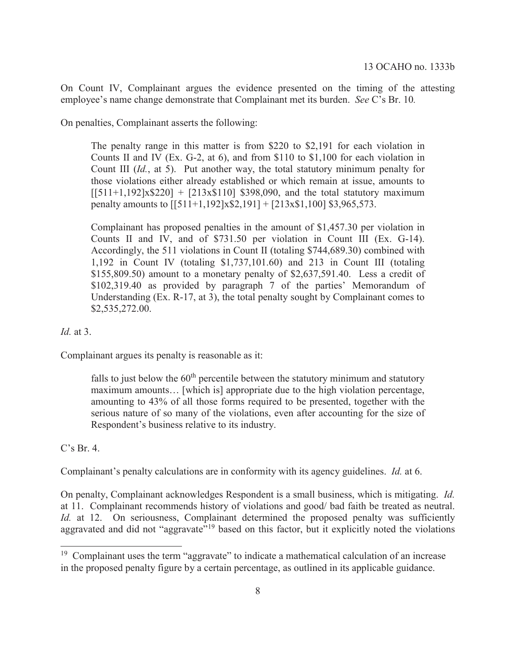On Count IV, Complainant argues the evidence presented on the timing of the attesting employee's name change demonstrate that Complainant met its burden. *See* C's Br. 10*.*

On penalties, Complainant asserts the following:

The penalty range in this matter is from \$220 to \$2,191 for each violation in Counts II and IV (Ex. G-2, at 6), and from \$110 to \$1,100 for each violation in Count III (*Id.*, at 5). Put another way, the total statutory minimum penalty for those violations either already established or which remain at issue, amounts to  $[511+1,192]x$220] + [213x$110] $398,090$ , and the total statutory maximum penalty amounts to [[511+1,192]x\$2,191] + [213x\$1,100] \$3,965,573.

Complainant has proposed penalties in the amount of \$1,457.30 per violation in Counts II and IV, and of \$731.50 per violation in Count III (Ex. G-14). Accordingly, the 511 violations in Count II (totaling \$744,689.30) combined with 1,192 in Count IV (totaling \$1,737,101.60) and 213 in Count III (totaling \$155,809.50) amount to a monetary penalty of \$2,637,591.40. Less a credit of \$102,319.40 as provided by paragraph 7 of the parties' Memorandum of Understanding (Ex. R-17, at 3), the total penalty sought by Complainant comes to \$2,535,272.00.

*Id.* at 3.

Complainant argues its penalty is reasonable as it:

falls to just below the  $60<sup>th</sup>$  percentile between the statutory minimum and statutory maximum amounts… [which is] appropriate due to the high violation percentage, amounting to 43% of all those forms required to be presented, together with the serious nature of so many of the violations, even after accounting for the size of Respondent's business relative to its industry.

C's Br. 4.

 $\overline{a}$ 

Complainant's penalty calculations are in conformity with its agency guidelines. *Id.* at 6.

On penalty, Complainant acknowledges Respondent is a small business, which is mitigating. *Id.*  at 11. Complainant recommends history of violations and good/ bad faith be treated as neutral. *Id.* at 12. On seriousness, Complainant determined the proposed penalty was sufficiently aggravated and did not "aggravate"<sup>19</sup> based on this factor, but it explicitly noted the violations

 $19$  Complainant uses the term "aggravate" to indicate a mathematical calculation of an increase in the proposed penalty figure by a certain percentage, as outlined in its applicable guidance.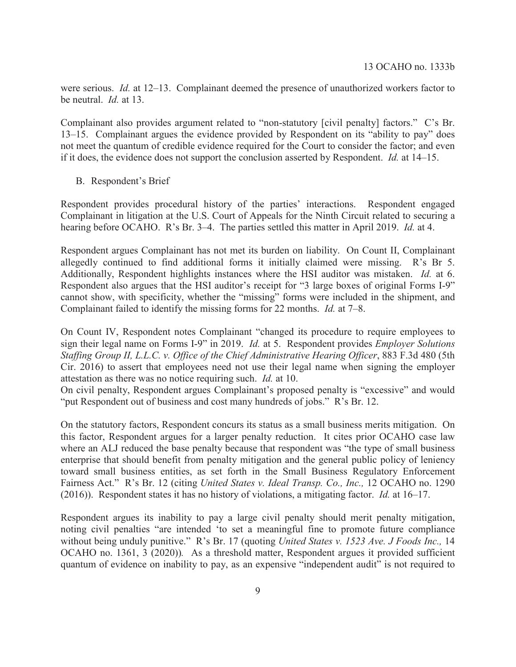were serious. *Id.* at 12–13. Complainant deemed the presence of unauthorized workers factor to be neutral. *Id.* at 13.

Complainant also provides argument related to "non-statutory [civil penalty] factors." C's Br. 13–15. Complainant argues the evidence provided by Respondent on its "ability to pay" does not meet the quantum of credible evidence required for the Court to consider the factor; and even if it does, the evidence does not support the conclusion asserted by Respondent. *Id.* at 14–15.

B. Respondent's Brief

Respondent provides procedural history of the parties' interactions. Respondent engaged Complainant in litigation at the U.S. Court of Appeals for the Ninth Circuit related to securing a hearing before OCAHO. R's Br. 3–4. The parties settled this matter in April 2019. *Id.* at 4.

Respondent argues Complainant has not met its burden on liability. On Count II, Complainant allegedly continued to find additional forms it initially claimed were missing. R's Br 5. Additionally, Respondent highlights instances where the HSI auditor was mistaken. *Id.* at 6. Respondent also argues that the HSI auditor's receipt for "3 large boxes of original Forms I-9" cannot show, with specificity, whether the "missing" forms were included in the shipment, and Complainant failed to identify the missing forms for 22 months. *Id.* at 7–8.

On Count IV, Respondent notes Complainant "changed its procedure to require employees to sign their legal name on Forms I-9" in 2019. *Id.* at 5. Respondent provides *Employer Solutions Staffing Group II, L.L.C. v. Office of the Chief Administrative Hearing Officer*, 883 F.3d 480 (5th Cir. 2016) to assert that employees need not use their legal name when signing the employer attestation as there was no notice requiring such. *Id.* at 10.

On civil penalty, Respondent argues Complainant's proposed penalty is "excessive" and would "put Respondent out of business and cost many hundreds of jobs." R's Br. 12.

On the statutory factors, Respondent concurs its status as a small business merits mitigation. On this factor, Respondent argues for a larger penalty reduction. It cites prior OCAHO case law where an ALJ reduced the base penalty because that respondent was "the type of small business" enterprise that should benefit from penalty mitigation and the general public policy of leniency toward small business entities, as set forth in the Small Business Regulatory Enforcement Fairness Act." R's Br. 12 (citing *United States v. Ideal Transp. Co., Inc.,* 12 OCAHO no. 1290 (2016)). Respondent states it has no history of violations, a mitigating factor. *Id.* at 16–17.

Respondent argues its inability to pay a large civil penalty should merit penalty mitigation, noting civil penalties "are intended 'to set a meaningful fine to promote future compliance without being unduly punitive." R's Br. 17 (quoting *United States v. 1523 Ave. J Foods Inc.,* 14 OCAHO no. 1361, 3 (2020))*.* As a threshold matter, Respondent argues it provided sufficient quantum of evidence on inability to pay, as an expensive "independent audit" is not required to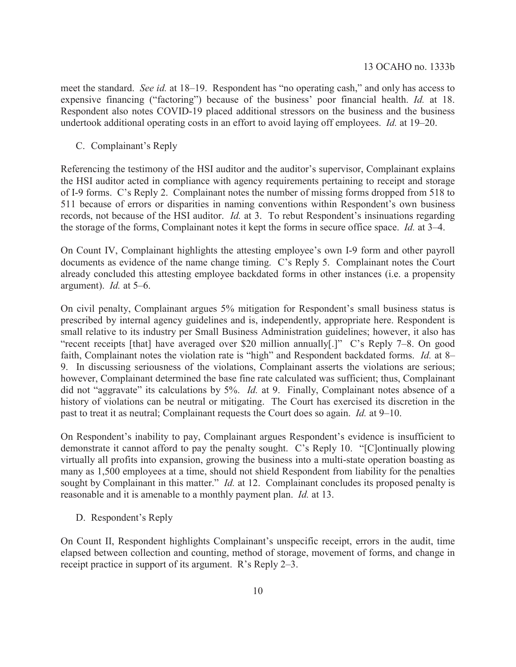meet the standard. *See id.* at 18–19. Respondent has "no operating cash," and only has access to expensive financing ("factoring") because of the business' poor financial health. *Id.* at 18. Respondent also notes COVID-19 placed additional stressors on the business and the business undertook additional operating costs in an effort to avoid laying off employees. *Id.* at 19–20.

C. Complainant's Reply

Referencing the testimony of the HSI auditor and the auditor's supervisor, Complainant explains the HSI auditor acted in compliance with agency requirements pertaining to receipt and storage of I-9 forms. C's Reply 2. Complainant notes the number of missing forms dropped from 518 to 511 because of errors or disparities in naming conventions within Respondent's own business records, not because of the HSI auditor. *Id.* at 3. To rebut Respondent's insinuations regarding the storage of the forms, Complainant notes it kept the forms in secure office space. *Id.* at 3–4.

On Count IV, Complainant highlights the attesting employee's own I-9 form and other payroll documents as evidence of the name change timing. C's Reply 5. Complainant notes the Court already concluded this attesting employee backdated forms in other instances (i.e. a propensity argument). *Id.* at 5–6.

On civil penalty, Complainant argues 5% mitigation for Respondent's small business status is prescribed by internal agency guidelines and is, independently, appropriate here. Respondent is small relative to its industry per Small Business Administration guidelines; however, it also has "recent receipts [that] have averaged over \$20 million annually[.]" C's Reply 7–8. On good faith, Complainant notes the violation rate is "high" and Respondent backdated forms. *Id.* at 8– 9. In discussing seriousness of the violations, Complainant asserts the violations are serious; however, Complainant determined the base fine rate calculated was sufficient; thus, Complainant did not "aggravate" its calculations by 5%. *Id.* at 9. Finally, Complainant notes absence of a history of violations can be neutral or mitigating. The Court has exercised its discretion in the past to treat it as neutral; Complainant requests the Court does so again. *Id.* at 9–10.

On Respondent's inability to pay, Complainant argues Respondent's evidence is insufficient to demonstrate it cannot afford to pay the penalty sought. C's Reply 10. "[C]ontinually plowing virtually all profits into expansion, growing the business into a multi-state operation boasting as many as 1,500 employees at a time, should not shield Respondent from liability for the penalties sought by Complainant in this matter." *Id.* at 12. Complainant concludes its proposed penalty is reasonable and it is amenable to a monthly payment plan. *Id.* at 13.

D. Respondent's Reply

On Count II, Respondent highlights Complainant's unspecific receipt, errors in the audit, time elapsed between collection and counting, method of storage, movement of forms, and change in receipt practice in support of its argument. R's Reply 2–3.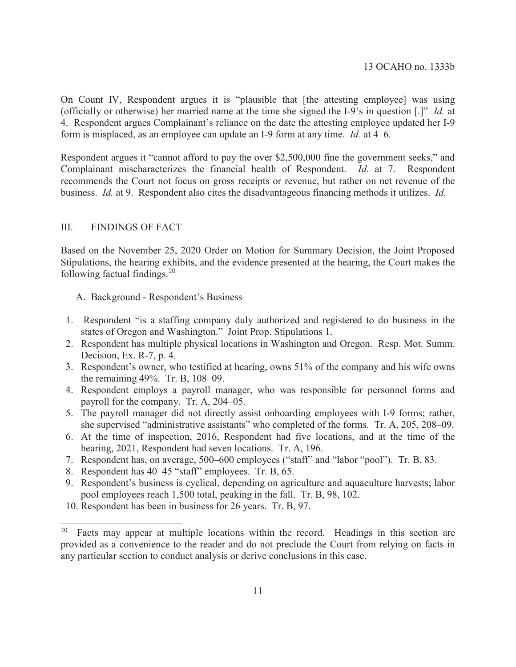On Count IV, Respondent argues it is "plausible that [the attesting employee] was using (officially or otherwise) her married name at the time she signed the I-9's in question [.]" *Id.* at 4. Respondent argues Complainant's reliance on the date the attesting employee updated her I-9 form is misplaced, as an employee can update an I-9 form at any time. *Id.* at 4–6.

Respondent argues it "cannot afford to pay the over \$2,500,000 fine the government seeks," and Complainant mischaracterizes the financial health of Respondent. *Id.* at 7. Respondent recommends the Court not focus on gross receipts or revenue, but rather on net revenue of the business. *Id.* at 9. Respondent also cites the disadvantageous financing methods it utilizes. *Id.*

#### III. FINDINGS OF FACT

 $\overline{a}$ 

Based on the November 25, 2020 Order on Motion for Summary Decision, the Joint Proposed Stipulations, the hearing exhibits, and the evidence presented at the hearing, the Court makes the following factual findings.<sup>20</sup>

- A. Background Respondent's Business
- 1. Respondent "is a staffing company duly authorized and registered to do business in the states of Oregon and Washington." Joint Prop. Stipulations 1.
- 2. Respondent has multiple physical locations in Washington and Oregon. Resp. Mot. Summ. Decision, Ex. R-7, p. 4.
- 3. Respondent's owner, who testified at hearing, owns 51% of the company and his wife owns the remaining 49%. Tr. B, 108–09.
- 4. Respondent employs a payroll manager, who was responsible for personnel forms and payroll for the company. Tr. A, 204–05.
- 5. The payroll manager did not directly assist onboarding employees with I-9 forms; rather, she supervised "administrative assistants" who completed of the forms. Tr. A, 205, 208–09.
- 6. At the time of inspection, 2016, Respondent had five locations, and at the time of the hearing, 2021, Respondent had seven locations. Tr. A, 196.
- 7. Respondent has, on average, 500–600 employees ("staff" and "labor "pool"). Tr. B, 83.
- 8. Respondent has 40–45 "staff" employees. Tr. B, 65.
- 9. Respondent's business is cyclical, depending on agriculture and aquaculture harvests; labor pool employees reach 1,500 total, peaking in the fall. Tr. B, 98, 102.
- 10. Respondent has been in business for 26 years. Tr. B, 97.

Facts may appear at multiple locations within the record. Headings in this section are provided as a convenience to the reader and do not preclude the Court from relying on facts in any particular section to conduct analysis or derive conclusions in this case.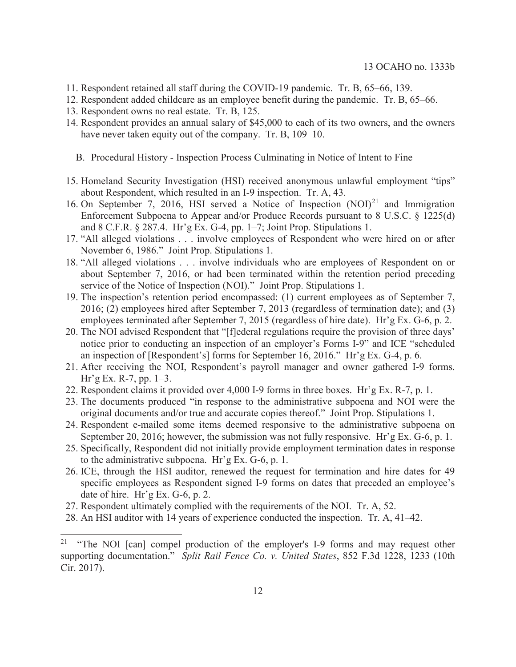- 11. Respondent retained all staff during the COVID-19 pandemic. Tr. B, 65–66, 139.
- 12. Respondent added childcare as an employee benefit during the pandemic. Tr. B, 65–66.
- 13. Respondent owns no real estate. Tr. B, 125.
- 14. Respondent provides an annual salary of \$45,000 to each of its two owners, and the owners have never taken equity out of the company. Tr. B, 109–10.
	- B. Procedural History Inspection Process Culminating in Notice of Intent to Fine
- 15. Homeland Security Investigation (HSI) received anonymous unlawful employment "tips" about Respondent, which resulted in an I-9 inspection. Tr. A, 43.
- 16. On September 7, 2016, HSI served a Notice of Inspection  $(NOI)^{21}$  and Immigration Enforcement Subpoena to Appear and/or Produce Records pursuant to 8 U.S.C. § 1225(d) and 8 C.F.R. § 287.4. Hr'g Ex. G-4, pp. 1–7; Joint Prop. Stipulations 1.
- 17. "All alleged violations . . . involve employees of Respondent who were hired on or after November 6, 1986." Joint Prop. Stipulations 1.
- 18. "All alleged violations . . . involve individuals who are employees of Respondent on or about September 7, 2016, or had been terminated within the retention period preceding service of the Notice of Inspection (NOI)." Joint Prop. Stipulations 1.
- 19. The inspection's retention period encompassed: (1) current employees as of September 7, 2016; (2) employees hired after September 7, 2013 (regardless of termination date); and (3) employees terminated after September 7, 2015 (regardless of hire date). Hr'g Ex. G-6, p. 2.
- 20. The NOI advised Respondent that "[f]ederal regulations require the provision of three days' notice prior to conducting an inspection of an employer's Forms I-9" and ICE "scheduled an inspection of [Respondent's] forms for September 16, 2016." Hr'g Ex. G-4, p. 6.
- 21. After receiving the NOI, Respondent's payroll manager and owner gathered I-9 forms. Hr'g Ex. R-7, pp. 1–3.
- 22. Respondent claims it provided over 4,000 I-9 forms in three boxes. Hr'g Ex. R-7, p. 1.
- 23. The documents produced "in response to the administrative subpoena and NOI were the original documents and/or true and accurate copies thereof." Joint Prop. Stipulations 1.
- 24. Respondent e-mailed some items deemed responsive to the administrative subpoena on September 20, 2016; however, the submission was not fully responsive. Hr'g Ex. G-6, p. 1.
- 25. Specifically, Respondent did not initially provide employment termination dates in response to the administrative subpoena. Hr'g Ex. G-6, p. 1.
- 26. ICE, through the HSI auditor, renewed the request for termination and hire dates for 49 specific employees as Respondent signed I-9 forms on dates that preceded an employee's date of hire. Hr'g Ex. G-6, p. 2.
- 27. Respondent ultimately complied with the requirements of the NOI. Tr. A, 52.

 $\overline{a}$ 

28. An HSI auditor with 14 years of experience conducted the inspection. Tr. A, 41–42.

<sup>&</sup>lt;sup>21</sup> "The NOI [can] compel production of the employer's I-9 forms and may request other supporting documentation." *Split Rail Fence Co. v. United States*, 852 F.3d 1228, 1233 (10th Cir. 2017).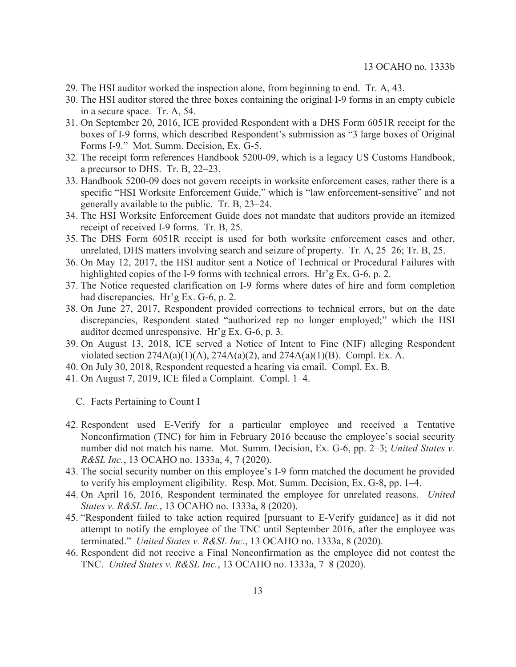- 29. The HSI auditor worked the inspection alone, from beginning to end. Tr. A, 43.
- 30. The HSI auditor stored the three boxes containing the original I-9 forms in an empty cubicle in a secure space. Tr. A, 54.
- 31. On September 20, 2016, ICE provided Respondent with a DHS Form 6051R receipt for the boxes of I-9 forms, which described Respondent's submission as "3 large boxes of Original Forms I-9." Mot. Summ. Decision, Ex. G-5.
- 32. The receipt form references Handbook 5200-09, which is a legacy US Customs Handbook, a precursor to DHS. Tr. B, 22–23.
- 33. Handbook 5200-09 does not govern receipts in worksite enforcement cases, rather there is a specific "HSI Worksite Enforcement Guide," which is "law enforcement-sensitive" and not generally available to the public. Tr. B, 23–24.
- 34. The HSI Worksite Enforcement Guide does not mandate that auditors provide an itemized receipt of received I-9 forms. Tr. B, 25.
- 35. The DHS Form 6051R receipt is used for both worksite enforcement cases and other, unrelated, DHS matters involving search and seizure of property. Tr. A, 25–26; Tr. B, 25.
- 36. On May 12, 2017, the HSI auditor sent a Notice of Technical or Procedural Failures with highlighted copies of the I-9 forms with technical errors. Hr'g Ex. G-6, p. 2.
- 37. The Notice requested clarification on I-9 forms where dates of hire and form completion had discrepancies. Hr'g Ex. G-6, p. 2.
- 38. On June 27, 2017, Respondent provided corrections to technical errors, but on the date discrepancies, Respondent stated "authorized rep no longer employed;" which the HSI auditor deemed unresponsive. Hr'g Ex. G-6, p. 3.
- 39. On August 13, 2018, ICE served a Notice of Intent to Fine (NIF) alleging Respondent violated section  $274A(a)(1)(A)$ ,  $274A(a)(2)$ , and  $274A(a)(1)(B)$ . Compl. Ex. A.
- 40. On July 30, 2018, Respondent requested a hearing via email. Compl. Ex. B.
- 41. On August 7, 2019, ICE filed a Complaint. Compl. 1–4.

C. Facts Pertaining to Count I

- 42. Respondent used E-Verify for a particular employee and received a Tentative Nonconfirmation (TNC) for him in February 2016 because the employee's social security number did not match his name. Mot. Summ. Decision, Ex. G-6, pp. 2–3; *United States v. R&SL Inc.*, 13 OCAHO no. 1333a, 4, 7 (2020).
- 43. The social security number on this employee's I-9 form matched the document he provided to verify his employment eligibility. Resp. Mot. Summ. Decision, Ex. G-8, pp. 1–4.
- 44. On April 16, 2016, Respondent terminated the employee for unrelated reasons. *United States v. R&SL Inc.*, 13 OCAHO no. 1333a, 8 (2020).
- 45. "Respondent failed to take action required [pursuant to E-Verify guidance] as it did not attempt to notify the employee of the TNC until September 2016, after the employee was terminated." *United States v. R&SL Inc.*, 13 OCAHO no. 1333a, 8 (2020).
- 46. Respondent did not receive a Final Nonconfirmation as the employee did not contest the TNC. *United States v. R&SL Inc.*, 13 OCAHO no. 1333a, 7–8 (2020).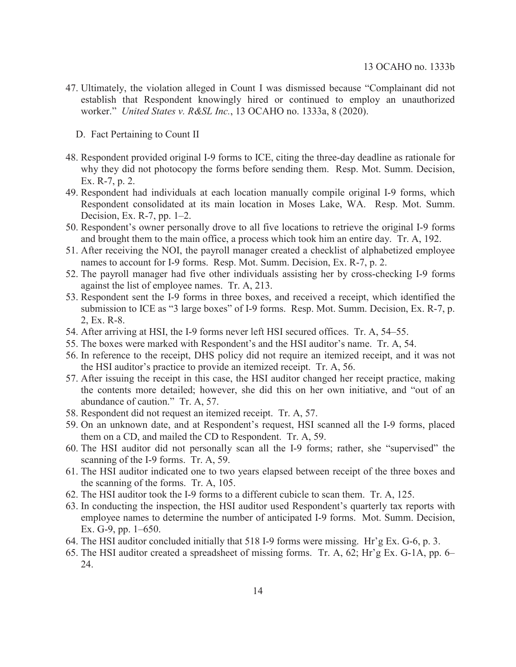- 47. Ultimately, the violation alleged in Count I was dismissed because "Complainant did not establish that Respondent knowingly hired or continued to employ an unauthorized worker." *United States v. R&SL Inc.*, 13 OCAHO no. 1333a, 8 (2020).
	- D. Fact Pertaining to Count II
- 48. Respondent provided original I-9 forms to ICE, citing the three-day deadline as rationale for why they did not photocopy the forms before sending them. Resp. Mot. Summ. Decision, Ex. R-7, p. 2.
- 49. Respondent had individuals at each location manually compile original I-9 forms, which Respondent consolidated at its main location in Moses Lake, WA. Resp. Mot. Summ. Decision, Ex. R-7, pp. 1–2.
- 50. Respondent's owner personally drove to all five locations to retrieve the original I-9 forms and brought them to the main office, a process which took him an entire day. Tr. A, 192.
- 51. After receiving the NOI, the payroll manager created a checklist of alphabetized employee names to account for I-9 forms. Resp. Mot. Summ. Decision, Ex. R-7, p. 2.
- 52. The payroll manager had five other individuals assisting her by cross-checking I-9 forms against the list of employee names. Tr. A, 213.
- 53. Respondent sent the I-9 forms in three boxes, and received a receipt, which identified the submission to ICE as "3 large boxes" of I-9 forms. Resp. Mot. Summ. Decision, Ex. R-7, p. 2, Ex. R-8.
- 54. After arriving at HSI, the I-9 forms never left HSI secured offices. Tr. A, 54–55.
- 55. The boxes were marked with Respondent's and the HSI auditor's name. Tr. A, 54.
- 56. In reference to the receipt, DHS policy did not require an itemized receipt, and it was not the HSI auditor's practice to provide an itemized receipt. Tr. A, 56.
- 57. After issuing the receipt in this case, the HSI auditor changed her receipt practice, making the contents more detailed; however, she did this on her own initiative, and "out of an abundance of caution." Tr. A, 57.
- 58. Respondent did not request an itemized receipt. Tr. A, 57.
- 59. On an unknown date, and at Respondent's request, HSI scanned all the I-9 forms, placed them on a CD, and mailed the CD to Respondent. Tr. A, 59.
- 60. The HSI auditor did not personally scan all the I-9 forms; rather, she "supervised" the scanning of the I-9 forms. Tr. A, 59.
- 61. The HSI auditor indicated one to two years elapsed between receipt of the three boxes and the scanning of the forms. Tr. A, 105.
- 62. The HSI auditor took the I-9 forms to a different cubicle to scan them. Tr. A, 125.
- 63. In conducting the inspection, the HSI auditor used Respondent's quarterly tax reports with employee names to determine the number of anticipated I-9 forms. Mot. Summ. Decision, Ex. G-9, pp. 1–650.
- 64. The HSI auditor concluded initially that 518 I-9 forms were missing. Hr'g Ex. G-6, p. 3.
- 65. The HSI auditor created a spreadsheet of missing forms. Tr. A, 62; Hr'g Ex. G-1A, pp. 6– 24.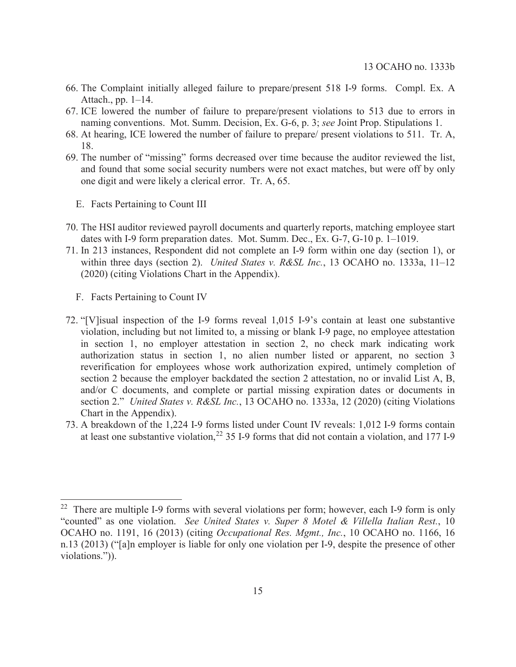- 66. The Complaint initially alleged failure to prepare/present 518 I-9 forms. Compl. Ex. A Attach., pp. 1–14.
- 67. ICE lowered the number of failure to prepare/present violations to 513 due to errors in naming conventions. Mot. Summ. Decision, Ex. G-6, p. 3; *see* Joint Prop. Stipulations 1.
- 68. At hearing, ICE lowered the number of failure to prepare/ present violations to 511. Tr. A, 18.
- 69. The number of "missing" forms decreased over time because the auditor reviewed the list, and found that some social security numbers were not exact matches, but were off by only one digit and were likely a clerical error. Tr. A, 65.
	- E. Facts Pertaining to Count III
- 70. The HSI auditor reviewed payroll documents and quarterly reports, matching employee start dates with I-9 form preparation dates. Mot. Summ. Dec., Ex. G-7, G-10 p. 1–1019.
- 71. In 213 instances, Respondent did not complete an I-9 form within one day (section 1), or within three days (section 2). *United States v. R&SL Inc.*, 13 OCAHO no. 1333a, 11–12 (2020) (citing Violations Chart in the Appendix).
	- F. Facts Pertaining to Count IV

 $\overline{a}$ 

- 72. "[V]isual inspection of the I-9 forms reveal 1,015 I-9's contain at least one substantive violation, including but not limited to, a missing or blank I-9 page, no employee attestation in section 1, no employer attestation in section 2, no check mark indicating work authorization status in section 1, no alien number listed or apparent, no section 3 reverification for employees whose work authorization expired, untimely completion of section 2 because the employer backdated the section 2 attestation, no or invalid List A, B, and/or C documents, and complete or partial missing expiration dates or documents in section 2." *United States v. R&SL Inc.*, 13 OCAHO no. 1333a, 12 (2020) (citing Violations Chart in the Appendix).
- 73. A breakdown of the 1,224 I-9 forms listed under Count IV reveals: 1,012 I-9 forms contain at least one substantive violation,  $^{22}$  35 I-9 forms that did not contain a violation, and 177 I-9

<sup>&</sup>lt;sup>22</sup> There are multiple I-9 forms with several violations per form; however, each I-9 form is only "counted" as one violation. *See United States v. Super 8 Motel & Villella Italian Rest.*, 10 OCAHO no. 1191, 16 (2013) (citing *Occupational Res. Mgmt., Inc.*, 10 OCAHO no. 1166, 16 n.13 (2013) ("[a]n employer is liable for only one violation per I-9, despite the presence of other violations.")).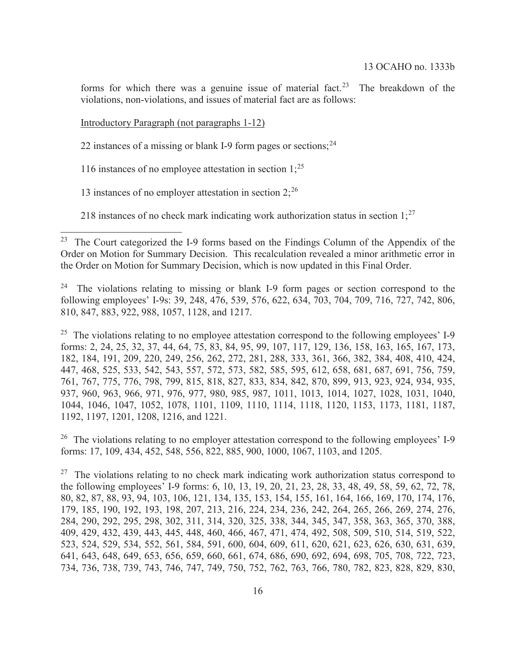forms for which there was a genuine issue of material fact.<sup>23</sup> The breakdown of the violations, non-violations, and issues of material fact are as follows:

Introductory Paragraph (not paragraphs 1-12)

 $\overline{a}$ 

22 instances of a missing or blank I-9 form pages or sections;  $2<sup>4</sup>$ 

116 instances of no employee attestation in section  $1$ ;<sup>25</sup>

13 instances of no employer attestation in section  $2$ ;<sup>26</sup>

218 instances of no check mark indicating work authorization status in section  $1;^{27}$ 

 $24$  The violations relating to missing or blank I-9 form pages or section correspond to the following employees' I-9s: 39, 248, 476, 539, 576, 622, 634, 703, 704, 709, 716, 727, 742, 806, 810, 847, 883, 922, 988, 1057, 1128, and 1217.

 $25$  The violations relating to no employee attestation correspond to the following employees' I-9 forms: 2, 24, 25, 32, 37, 44, 64, 75, 83, 84, 95, 99, 107, 117, 129, 136, 158, 163, 165, 167, 173, 182, 184, 191, 209, 220, 249, 256, 262, 272, 281, 288, 333, 361, 366, 382, 384, 408, 410, 424, 447, 468, 525, 533, 542, 543, 557, 572, 573, 582, 585, 595, 612, 658, 681, 687, 691, 756, 759, 761, 767, 775, 776, 798, 799, 815, 818, 827, 833, 834, 842, 870, 899, 913, 923, 924, 934, 935, 937, 960, 963, 966, 971, 976, 977, 980, 985, 987, 1011, 1013, 1014, 1027, 1028, 1031, 1040, 1044, 1046, 1047, 1052, 1078, 1101, 1109, 1110, 1114, 1118, 1120, 1153, 1173, 1181, 1187, 1192, 1197, 1201, 1208, 1216, and 1221.

<sup>26</sup> The violations relating to no employer attestation correspond to the following employees' I-9 forms: 17, 109, 434, 452, 548, 556, 822, 885, 900, 1000, 1067, 1103, and 1205.

 $27$  The violations relating to no check mark indicating work authorization status correspond to the following employees' I-9 forms: 6, 10, 13, 19, 20, 21, 23, 28, 33, 48, 49, 58, 59, 62, 72, 78, 80, 82, 87, 88, 93, 94, 103, 106, 121, 134, 135, 153, 154, 155, 161, 164, 166, 169, 170, 174, 176, 179, 185, 190, 192, 193, 198, 207, 213, 216, 224, 234, 236, 242, 264, 265, 266, 269, 274, 276, 284, 290, 292, 295, 298, 302, 311, 314, 320, 325, 338, 344, 345, 347, 358, 363, 365, 370, 388, 409, 429, 432, 439, 443, 445, 448, 460, 466, 467, 471, 474, 492, 508, 509, 510, 514, 519, 522, 523, 524, 529, 534, 552, 561, 584, 591, 600, 604, 609, 611, 620, 621, 623, 626, 630, 631, 639, 641, 643, 648, 649, 653, 656, 659, 660, 661, 674, 686, 690, 692, 694, 698, 705, 708, 722, 723, 734, 736, 738, 739, 743, 746, 747, 749, 750, 752, 762, 763, 766, 780, 782, 823, 828, 829, 830,

<sup>&</sup>lt;sup>23</sup> The Court categorized the I-9 forms based on the Findings Column of the Appendix of the Order on Motion for Summary Decision. This recalculation revealed a minor arithmetic error in the Order on Motion for Summary Decision, which is now updated in this Final Order.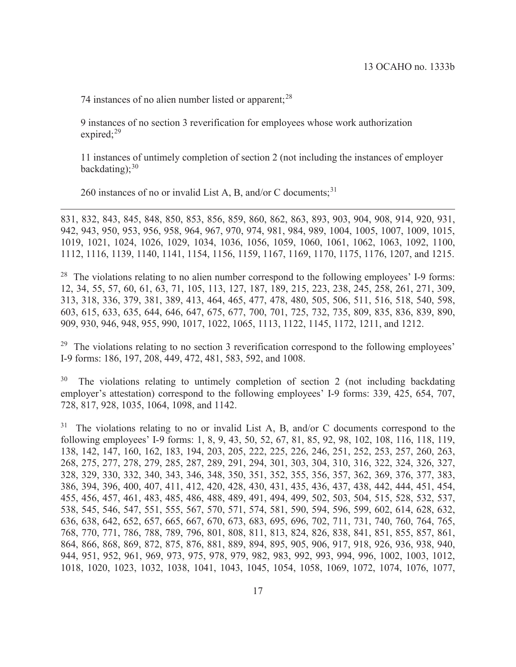74 instances of no alien number listed or apparent;  $28$ 

 $\overline{a}$ 

9 instances of no section 3 reverification for employees whose work authorization expired; $^{29}$ 

11 instances of untimely completion of section 2 (not including the instances of employer backdating): $30$ 

260 instances of no or invalid List A, B, and/or C documents;<sup>31</sup>

831, 832, 843, 845, 848, 850, 853, 856, 859, 860, 862, 863, 893, 903, 904, 908, 914, 920, 931, 942, 943, 950, 953, 956, 958, 964, 967, 970, 974, 981, 984, 989, 1004, 1005, 1007, 1009, 1015, 1019, 1021, 1024, 1026, 1029, 1034, 1036, 1056, 1059, 1060, 1061, 1062, 1063, 1092, 1100, 1112, 1116, 1139, 1140, 1141, 1154, 1156, 1159, 1167, 1169, 1170, 1175, 1176, 1207, and 1215.

<sup>28</sup> The violations relating to no alien number correspond to the following employees' I-9 forms: 12, 34, 55, 57, 60, 61, 63, 71, 105, 113, 127, 187, 189, 215, 223, 238, 245, 258, 261, 271, 309, 313, 318, 336, 379, 381, 389, 413, 464, 465, 477, 478, 480, 505, 506, 511, 516, 518, 540, 598, 603, 615, 633, 635, 644, 646, 647, 675, 677, 700, 701, 725, 732, 735, 809, 835, 836, 839, 890, 909, 930, 946, 948, 955, 990, 1017, 1022, 1065, 1113, 1122, 1145, 1172, 1211, and 1212.

 $29$  The violations relating to no section 3 reverification correspond to the following employees' I-9 forms: 186, 197, 208, 449, 472, 481, 583, 592, and 1008.

 $30$  The violations relating to untimely completion of section 2 (not including backdating employer's attestation) correspond to the following employees' I-9 forms: 339, 425, 654, 707, 728, 817, 928, 1035, 1064, 1098, and 1142.

 $31$  The violations relating to no or invalid List A, B, and/or C documents correspond to the following employees' I-9 forms: 1, 8, 9, 43, 50, 52, 67, 81, 85, 92, 98, 102, 108, 116, 118, 119, 138, 142, 147, 160, 162, 183, 194, 203, 205, 222, 225, 226, 246, 251, 252, 253, 257, 260, 263, 268, 275, 277, 278, 279, 285, 287, 289, 291, 294, 301, 303, 304, 310, 316, 322, 324, 326, 327, 328, 329, 330, 332, 340, 343, 346, 348, 350, 351, 352, 355, 356, 357, 362, 369, 376, 377, 383, 386, 394, 396, 400, 407, 411, 412, 420, 428, 430, 431, 435, 436, 437, 438, 442, 444, 451, 454, 455, 456, 457, 461, 483, 485, 486, 488, 489, 491, 494, 499, 502, 503, 504, 515, 528, 532, 537, 538, 545, 546, 547, 551, 555, 567, 570, 571, 574, 581, 590, 594, 596, 599, 602, 614, 628, 632, 636, 638, 642, 652, 657, 665, 667, 670, 673, 683, 695, 696, 702, 711, 731, 740, 760, 764, 765, 768, 770, 771, 786, 788, 789, 796, 801, 808, 811, 813, 824, 826, 838, 841, 851, 855, 857, 861, 864, 866, 868, 869, 872, 875, 876, 881, 889, 894, 895, 905, 906, 917, 918, 926, 936, 938, 940, 944, 951, 952, 961, 969, 973, 975, 978, 979, 982, 983, 992, 993, 994, 996, 1002, 1003, 1012, 1018, 1020, 1023, 1032, 1038, 1041, 1043, 1045, 1054, 1058, 1069, 1072, 1074, 1076, 1077,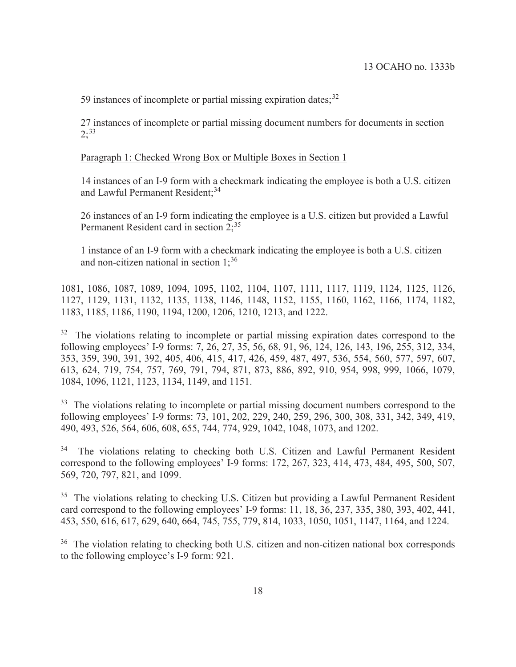59 instances of incomplete or partial missing expiration dates;  $32$ 

27 instances of incomplete or partial missing document numbers for documents in section  $2:33$ 

Paragraph 1: Checked Wrong Box or Multiple Boxes in Section 1

 $\overline{a}$ 

14 instances of an I-9 form with a checkmark indicating the employee is both a U.S. citizen and Lawful Permanent Resident;<sup>34</sup>

26 instances of an I-9 form indicating the employee is a U.S. citizen but provided a Lawful Permanent Resident card in section  $2;^{35}$ 

1 instance of an I-9 form with a checkmark indicating the employee is both a U.S. citizen and non-citizen national in section  $1;^{36}$ 

1081, 1086, 1087, 1089, 1094, 1095, 1102, 1104, 1107, 1111, 1117, 1119, 1124, 1125, 1126, 1127, 1129, 1131, 1132, 1135, 1138, 1146, 1148, 1152, 1155, 1160, 1162, 1166, 1174, 1182, 1183, 1185, 1186, 1190, 1194, 1200, 1206, 1210, 1213, and 1222.

 $32$  The violations relating to incomplete or partial missing expiration dates correspond to the following employees' I-9 forms: 7, 26, 27, 35, 56, 68, 91, 96, 124, 126, 143, 196, 255, 312, 334, 353, 359, 390, 391, 392, 405, 406, 415, 417, 426, 459, 487, 497, 536, 554, 560, 577, 597, 607, 613, 624, 719, 754, 757, 769, 791, 794, 871, 873, 886, 892, 910, 954, 998, 999, 1066, 1079, 1084, 1096, 1121, 1123, 1134, 1149, and 1151.

<sup>33</sup> The violations relating to incomplete or partial missing document numbers correspond to the following employees' I-9 forms: 73, 101, 202, 229, 240, 259, 296, 300, 308, 331, 342, 349, 419, 490, 493, 526, 564, 606, 608, 655, 744, 774, 929, 1042, 1048, 1073, and 1202.

<sup>34</sup> The violations relating to checking both U.S. Citizen and Lawful Permanent Resident correspond to the following employees' I-9 forms: 172, 267, 323, 414, 473, 484, 495, 500, 507, 569, 720, 797, 821, and 1099.

 $35$  The violations relating to checking U.S. Citizen but providing a Lawful Permanent Resident card correspond to the following employees' I-9 forms: 11, 18, 36, 237, 335, 380, 393, 402, 441, 453, 550, 616, 617, 629, 640, 664, 745, 755, 779, 814, 1033, 1050, 1051, 1147, 1164, and 1224.

<sup>36</sup> The violation relating to checking both U.S. citizen and non-citizen national box corresponds to the following employee's I-9 form: 921.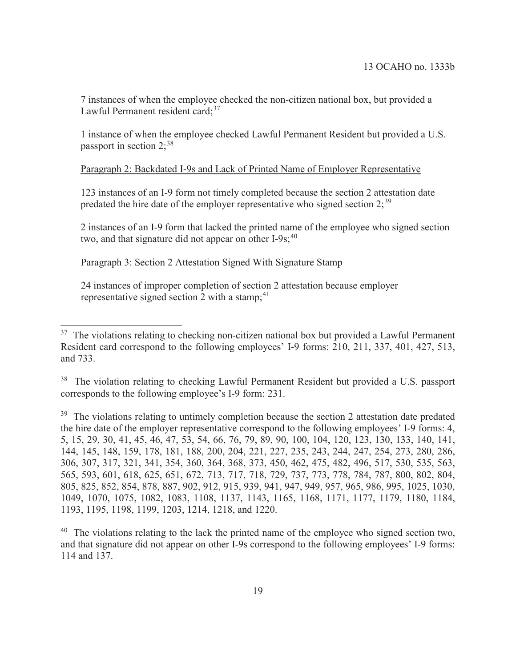7 instances of when the employee checked the non-citizen national box, but provided a Lawful Permanent resident card;<sup>37</sup>

1 instance of when the employee checked Lawful Permanent Resident but provided a U.S. passport in section  $2:38$ 

#### Paragraph 2: Backdated I-9s and Lack of Printed Name of Employer Representative

123 instances of an I-9 form not timely completed because the section 2 attestation date predated the hire date of the employer representative who signed section  $2$ ;<sup>39</sup>

2 instances of an I-9 form that lacked the printed name of the employee who signed section two, and that signature did not appear on other I-9s;  $40$ 

Paragraph 3: Section 2 Attestation Signed With Signature Stamp

 $\overline{a}$ 

24 instances of improper completion of section 2 attestation because employer representative signed section 2 with a stamp;  $41$ 

 $37$  The violations relating to checking non-citizen national box but provided a Lawful Permanent Resident card correspond to the following employees' I-9 forms: 210, 211, 337, 401, 427, 513, and 733.

<sup>&</sup>lt;sup>38</sup> The violation relating to checking Lawful Permanent Resident but provided a U.S. passport corresponds to the following employee's I-9 form: 231.

 $39$  The violations relating to untimely completion because the section 2 attestation date predated the hire date of the employer representative correspond to the following employees' I-9 forms: 4, 5, 15, 29, 30, 41, 45, 46, 47, 53, 54, 66, 76, 79, 89, 90, 100, 104, 120, 123, 130, 133, 140, 141, 144, 145, 148, 159, 178, 181, 188, 200, 204, 221, 227, 235, 243, 244, 247, 254, 273, 280, 286, 306, 307, 317, 321, 341, 354, 360, 364, 368, 373, 450, 462, 475, 482, 496, 517, 530, 535, 563, 565, 593, 601, 618, 625, 651, 672, 713, 717, 718, 729, 737, 773, 778, 784, 787, 800, 802, 804, 805, 825, 852, 854, 878, 887, 902, 912, 915, 939, 941, 947, 949, 957, 965, 986, 995, 1025, 1030, 1049, 1070, 1075, 1082, 1083, 1108, 1137, 1143, 1165, 1168, 1171, 1177, 1179, 1180, 1184, 1193, 1195, 1198, 1199, 1203, 1214, 1218, and 1220.

 $40$  The violations relating to the lack the printed name of the employee who signed section two, and that signature did not appear on other I-9s correspond to the following employees' I-9 forms: 114 and 137.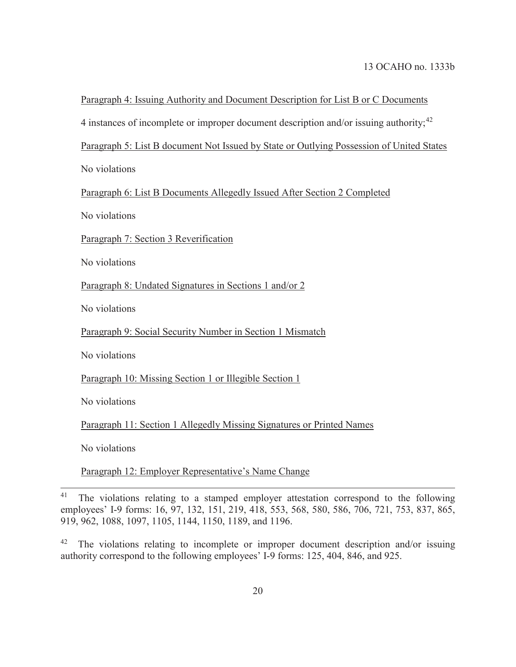Paragraph 4: Issuing Authority and Document Description for List B or C Documents

4 instances of incomplete or improper document description and/or issuing authority;<sup>42</sup>

Paragraph 5: List B document Not Issued by State or Outlying Possession of United States

No violations

Paragraph 6: List B Documents Allegedly Issued After Section 2 Completed

No violations

Paragraph 7: Section 3 Reverification

No violations

Paragraph 8: Undated Signatures in Sections 1 and/or 2

No violations

Paragraph 9: Social Security Number in Section 1 Mismatch

No violations

Paragraph 10: Missing Section 1 or Illegible Section 1

No violations

Paragraph 11: Section 1 Allegedly Missing Signatures or Printed Names

No violations

Paragraph 12: Employer Representative's Name Change

<sup>&</sup>lt;sup>41</sup> The violations relating to a stamped employer attestation correspond to the following employees' I-9 forms: 16, 97, 132, 151, 219, 418, 553, 568, 580, 586, 706, 721, 753, 837, 865, 919, 962, 1088, 1097, 1105, 1144, 1150, 1189, and 1196.

<sup>&</sup>lt;sup>42</sup> The violations relating to incomplete or improper document description and/or issuing authority correspond to the following employees' I-9 forms: 125, 404, 846, and 925.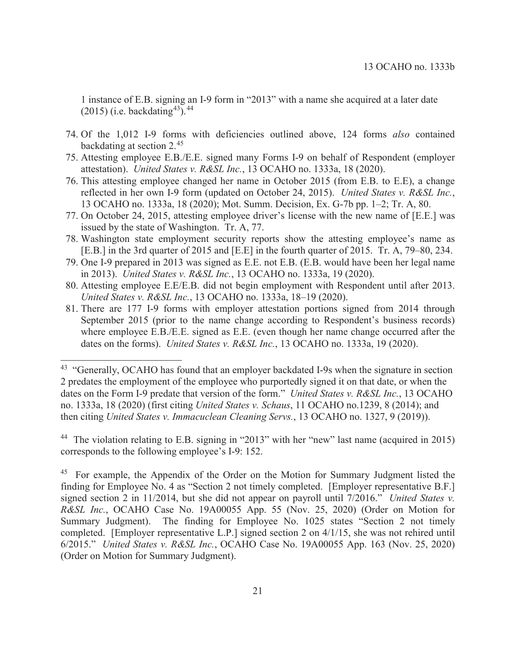1 instance of E.B. signing an I-9 form in "2013" with a name she acquired at a later date  $(2015)$  (i.e. backdating<sup>43</sup>).<sup>44</sup>

- 74. Of the 1,012 I-9 forms with deficiencies outlined above, 124 forms *also* contained backdating at section 2.<sup>45</sup>
- 75. Attesting employee E.B./E.E. signed many Forms I-9 on behalf of Respondent (employer attestation). *United States v. R&SL Inc.*, 13 OCAHO no. 1333a, 18 (2020).
- 76. This attesting employee changed her name in October 2015 (from E.B. to E.E), a change reflected in her own I-9 form (updated on October 24, 2015). *United States v. R&SL Inc.*, 13 OCAHO no. 1333a, 18 (2020); Mot. Summ. Decision, Ex. G-7b pp. 1–2; Tr. A, 80.
- 77. On October 24, 2015, attesting employee driver's license with the new name of [E.E.] was issued by the state of Washington. Tr. A, 77.
- 78. Washington state employment security reports show the attesting employee's name as [E.B.] in the 3rd quarter of 2015 and [E.E] in the fourth quarter of 2015. Tr. A, 79–80, 234.
- 79. One I-9 prepared in 2013 was signed as E.E. not E.B. (E.B. would have been her legal name in 2013). *United States v. R&SL Inc.*, 13 OCAHO no. 1333a, 19 (2020).
- 80. Attesting employee E.E/E.B. did not begin employment with Respondent until after 2013. *United States v. R&SL Inc.*, 13 OCAHO no. 1333a, 18–19 (2020).
- 81. There are 177 I-9 forms with employer attestation portions signed from 2014 through September 2015 (prior to the name change according to Respondent's business records) where employee E.B./E.E. signed as E.E. (even though her name change occurred after the dates on the forms). *United States v. R&SL Inc.*, 13 OCAHO no. 1333a, 19 (2020).

 $\overline{a}$ 

<sup>44</sup> The violation relating to E.B. signing in "2013" with her "new" last name (acquired in 2015) corresponds to the following employee's I-9: 152.

<sup>45</sup> For example, the Appendix of the Order on the Motion for Summary Judgment listed the finding for Employee No. 4 as "Section 2 not timely completed. [Employer representative B.F.] signed section 2 in 11/2014, but she did not appear on payroll until 7/2016." *United States v. R&SL Inc.*, OCAHO Case No. 19A00055 App. 55 (Nov. 25, 2020) (Order on Motion for Summary Judgment). The finding for Employee No. 1025 states "Section 2 not timely completed. [Employer representative L.P.] signed section 2 on 4/1/15, she was not rehired until 6/2015." *United States v. R&SL Inc.*, OCAHO Case No. 19A00055 App. 163 (Nov. 25, 2020) (Order on Motion for Summary Judgment).

<sup>&</sup>lt;sup>43</sup> "Generally, OCAHO has found that an employer backdated I-9s when the signature in section 2 predates the employment of the employee who purportedly signed it on that date, or when the dates on the Form I-9 predate that version of the form." *United States v. R&SL Inc.*, 13 OCAHO no. 1333a, 18 (2020) (first citing *United States v. Schaus*, 11 OCAHO no.1239, 8 (2014); and then citing *United States v. Immacuclean Cleaning Servs.*, 13 OCAHO no. 1327, 9 (2019)).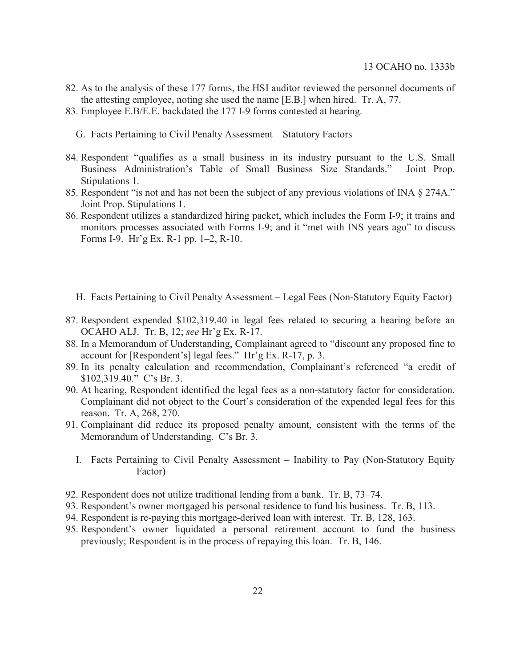- 82. As to the analysis of these 177 forms, the HSI auditor reviewed the personnel documents of the attesting employee, noting she used the name [E.B.] when hired. Tr. A, 77.
- 83. Employee E.B/E.E. backdated the 177 I-9 forms contested at hearing.
	- G. Facts Pertaining to Civil Penalty Assessment Statutory Factors
- 84. Respondent "qualifies as a small business in its industry pursuant to the U.S. Small Business Administration's Table of Small Business Size Standards." Joint Prop. Stipulations 1.
- 85. Respondent "is not and has not been the subject of any previous violations of INA § 274A." Joint Prop. Stipulations 1.
- 86. Respondent utilizes a standardized hiring packet, which includes the Form I-9; it trains and monitors processes associated with Forms I-9; and it "met with INS years ago" to discuss Forms I-9. Hr'g Ex. R-1 pp. 1–2, R-10.
	- H. Facts Pertaining to Civil Penalty Assessment Legal Fees (Non-Statutory Equity Factor)
- 87. Respondent expended \$102,319.40 in legal fees related to securing a hearing before an OCAHO ALJ. Tr. B, 12; *see* Hr'g Ex. R-17.
- 88. In a Memorandum of Understanding, Complainant agreed to "discount any proposed fine to account for [Respondent's] legal fees." Hr'g Ex. R-17, p. 3.
- 89. In its penalty calculation and recommendation, Complainant's referenced "a credit of \$102,319.40." C's Br. 3.
- 90. At hearing, Respondent identified the legal fees as a non-statutory factor for consideration. Complainant did not object to the Court's consideration of the expended legal fees for this reason. Tr. A, 268, 270.
- 91. Complainant did reduce its proposed penalty amount, consistent with the terms of the Memorandum of Understanding. C's Br. 3.
	- I. Facts Pertaining to Civil Penalty Assessment Inability to Pay (Non-Statutory Equity Factor)
- 92. Respondent does not utilize traditional lending from a bank. Tr. B, 73–74.
- 93. Respondent's owner mortgaged his personal residence to fund his business. Tr. B, 113.
- 94. Respondent is re-paying this mortgage-derived loan with interest. Tr. B, 128, 163.
- 95. Respondent's owner liquidated a personal retirement account to fund the business previously; Respondent is in the process of repaying this loan. Tr. B, 146.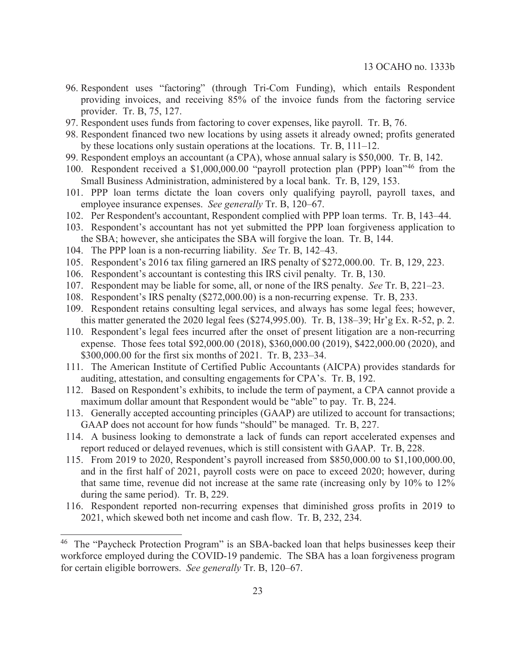- 96. Respondent uses "factoring" (through Tri-Com Funding), which entails Respondent providing invoices, and receiving 85% of the invoice funds from the factoring service provider. Tr. B, 75, 127.
- 97. Respondent uses funds from factoring to cover expenses, like payroll. Tr. B, 76.
- 98. Respondent financed two new locations by using assets it already owned; profits generated by these locations only sustain operations at the locations. Tr. B, 111–12.
- 99. Respondent employs an accountant (a CPA), whose annual salary is \$50,000. Tr. B, 142.
- 100. Respondent received a \$1,000,000.00 "payroll protection plan (PPP) loan"<sup>46</sup> from the Small Business Administration, administered by a local bank. Tr. B, 129, 153.
- 101. PPP loan terms dictate the loan covers only qualifying payroll, payroll taxes, and employee insurance expenses. *See generally* Tr. B, 120–67.
- 102. Per Respondent's accountant, Respondent complied with PPP loan terms. Tr. B, 143–44.
- 103. Respondent's accountant has not yet submitted the PPP loan forgiveness application to the SBA; however, she anticipates the SBA will forgive the loan. Tr. B, 144.
- 104. The PPP loan is a non-recurring liability. *See* Tr. B, 142–43.

 $\overline{a}$ 

- 105. Respondent's 2016 tax filing garnered an IRS penalty of \$272,000.00. Tr. B, 129, 223.
- 106. Respondent's accountant is contesting this IRS civil penalty. Tr. B, 130.
- 107. Respondent may be liable for some, all, or none of the IRS penalty. *See* Tr. B, 221–23.
- 108. Respondent's IRS penalty (\$272,000.00) is a non-recurring expense. Tr. B, 233.
- 109. Respondent retains consulting legal services, and always has some legal fees; however, this matter generated the 2020 legal fees (\$274,995.00). Tr. B, 138–39; Hr'g Ex. R-52, p. 2.
- 110. Respondent's legal fees incurred after the onset of present litigation are a non-recurring expense. Those fees total \$92,000.00 (2018), \$360,000.00 (2019), \$422,000.00 (2020), and \$300,000.00 for the first six months of 2021. Tr. B, 233–34.
- 111. The American Institute of Certified Public Accountants (AICPA) provides standards for auditing, attestation, and consulting engagements for CPA's. Tr. B, 192.
- 112. Based on Respondent's exhibits, to include the term of payment, a CPA cannot provide a maximum dollar amount that Respondent would be "able" to pay. Tr. B, 224.
- 113. Generally accepted accounting principles (GAAP) are utilized to account for transactions; GAAP does not account for how funds "should" be managed. Tr. B, 227.
- 114. A business looking to demonstrate a lack of funds can report accelerated expenses and report reduced or delayed revenues, which is still consistent with GAAP. Tr. B, 228.
- 115. From 2019 to 2020, Respondent's payroll increased from \$850,000.00 to \$1,100,000.00, and in the first half of 2021, payroll costs were on pace to exceed 2020; however, during that same time, revenue did not increase at the same rate (increasing only by 10% to 12% during the same period). Tr. B, 229.
- 116. Respondent reported non-recurring expenses that diminished gross profits in 2019 to 2021, which skewed both net income and cash flow. Tr. B, 232, 234.

<sup>&</sup>lt;sup>46</sup> The "Paycheck Protection Program" is an SBA-backed loan that helps businesses keep their workforce employed during the COVID-19 pandemic. The SBA has a loan forgiveness program for certain eligible borrowers. *See generally* Tr. B, 120–67.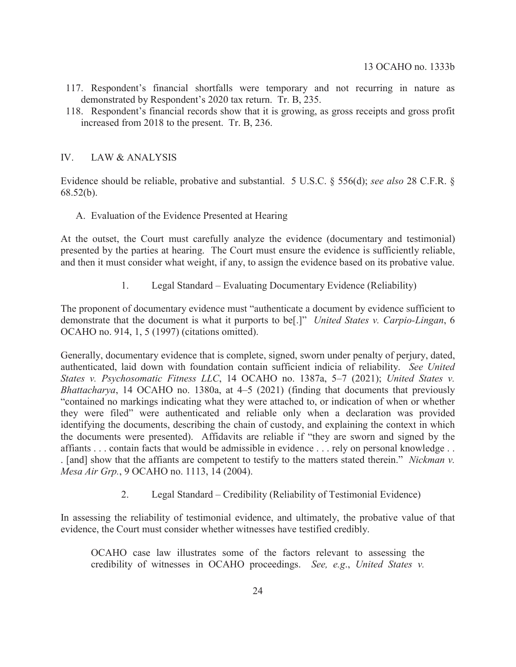- 117. Respondent's financial shortfalls were temporary and not recurring in nature as demonstrated by Respondent's 2020 tax return. Tr. B, 235.
- 118. Respondent's financial records show that it is growing, as gross receipts and gross profit increased from 2018 to the present. Tr. B, 236.

### IV. LAW & ANALYSIS

Evidence should be reliable, probative and substantial. 5 U.S.C. § 556(d); *see also* 28 C.F.R. § 68.52(b).

A. Evaluation of the Evidence Presented at Hearing

At the outset, the Court must carefully analyze the evidence (documentary and testimonial) presented by the parties at hearing. The Court must ensure the evidence is sufficiently reliable, and then it must consider what weight, if any, to assign the evidence based on its probative value.

1. Legal Standard – Evaluating Documentary Evidence (Reliability)

The proponent of documentary evidence must "authenticate a document by evidence sufficient to demonstrate that the document is what it purports to be[.]" *United States v. Carpio-Lingan*, 6 OCAHO no. 914, 1, 5 (1997) (citations omitted).

Generally, documentary evidence that is complete, signed, sworn under penalty of perjury, dated, authenticated, laid down with foundation contain sufficient indicia of reliability. *See United States v. Psychosomatic Fitness LLC*, 14 OCAHO no. 1387a, 5–7 (2021); *United States v. Bhattacharya*, 14 OCAHO no. 1380a, at 4–5 (2021) (finding that documents that previously "contained no markings indicating what they were attached to, or indication of when or whether they were filed" were authenticated and reliable only when a declaration was provided identifying the documents, describing the chain of custody, and explaining the context in which the documents were presented). Affidavits are reliable if "they are sworn and signed by the affiants . . . contain facts that would be admissible in evidence . . . rely on personal knowledge . . . [and] show that the affiants are competent to testify to the matters stated therein." *Nickman v. Mesa Air Grp.*, 9 OCAHO no. 1113, 14 (2004).

2. Legal Standard – Credibility (Reliability of Testimonial Evidence)

In assessing the reliability of testimonial evidence, and ultimately, the probative value of that evidence, the Court must consider whether witnesses have testified credibly.

OCAHO case law illustrates some of the factors relevant to assessing the credibility of witnesses in OCAHO proceedings. *See, e.g*., *United States v.*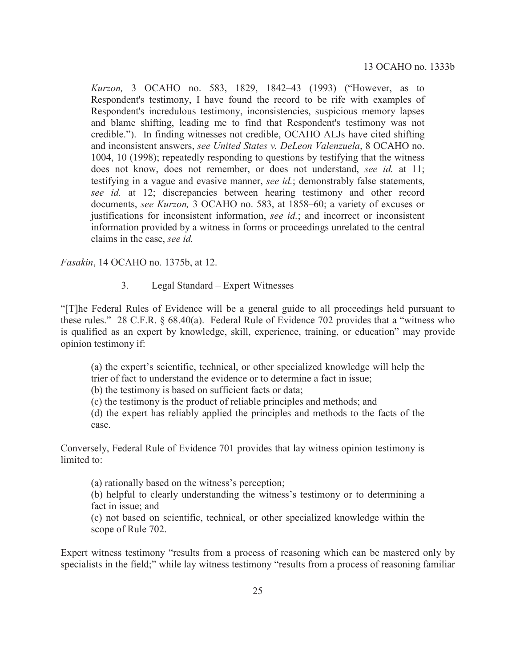*Kurzon,* 3 OCAHO no. 583, 1829, 1842–43 (1993) ("However, as to Respondent's testimony, I have found the record to be rife with examples of Respondent's incredulous testimony, inconsistencies, suspicious memory lapses and blame shifting, leading me to find that Respondent's testimony was not credible."). In finding witnesses not credible, OCAHO ALJs have cited shifting and inconsistent answers, *see United States v. DeLeon Valenzuela*, 8 OCAHO no. 1004, 10 (1998); repeatedly responding to questions by testifying that the witness does not know, does not remember, or does not understand, *see id.* at 11; testifying in a vague and evasive manner, *see id.*; demonstrably false statements, *see id.* at 12; discrepancies between hearing testimony and other record documents, *see Kurzon,* 3 OCAHO no. 583, at 1858–60; a variety of excuses or justifications for inconsistent information, *see id.*; and incorrect or inconsistent information provided by a witness in forms or proceedings unrelated to the central claims in the case, *see id.* 

*Fasakin*, 14 OCAHO no. 1375b, at 12.

3. Legal Standard – Expert Witnesses

"[T]he Federal Rules of Evidence will be a general guide to all proceedings held pursuant to these rules." 28 C.F.R. § 68.40(a). Federal Rule of Evidence 702 provides that a "witness who is qualified as an expert by knowledge, skill, experience, training, or education" may provide opinion testimony if:

(a) the expert's scientific, technical, or other specialized knowledge will help the trier of fact to understand the evidence or to determine a fact in issue;

(b) the testimony is based on sufficient facts or data;

(c) the testimony is the product of reliable principles and methods; and

(d) the expert has reliably applied the principles and methods to the facts of the case.

Conversely, Federal Rule of Evidence 701 provides that lay witness opinion testimony is limited to:

(a) rationally based on the witness's perception;

(b) helpful to clearly understanding the witness's testimony or to determining a fact in issue; and

(c) not based on scientific, technical, or other specialized knowledge within the scope of Rule 702.

Expert witness testimony "results from a process of reasoning which can be mastered only by specialists in the field;" while lay witness testimony "results from a process of reasoning familiar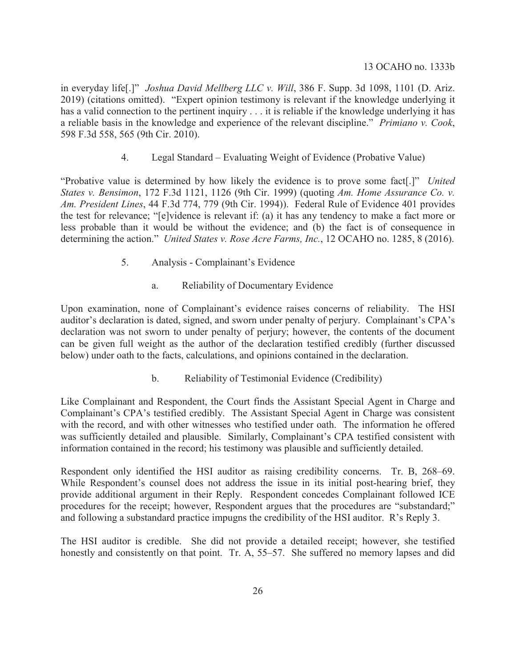in everyday life[.]" *Joshua David Mellberg LLC v. Will*, 386 F. Supp. 3d 1098, 1101 (D. Ariz. 2019) (citations omitted). "Expert opinion testimony is relevant if the knowledge underlying it has a valid connection to the pertinent inquiry . . . it is reliable if the knowledge underlying it has a reliable basis in the knowledge and experience of the relevant discipline." *Primiano v. Cook*, 598 F.3d 558, 565 (9th Cir. 2010).

4. Legal Standard – Evaluating Weight of Evidence (Probative Value)

"Probative value is determined by how likely the evidence is to prove some fact[.]" *United States v. Bensimon*, 172 F.3d 1121, 1126 (9th Cir. 1999) (quoting *Am. Home Assurance Co. v. Am. President Lines*, 44 F.3d 774, 779 (9th Cir. 1994)). Federal Rule of Evidence 401 provides the test for relevance; "[e]vidence is relevant if: (a) it has any tendency to make a fact more or less probable than it would be without the evidence; and (b) the fact is of consequence in determining the action." *United States v. Rose Acre Farms, Inc.*, 12 OCAHO no. 1285, 8 (2016).

- 5. Analysis Complainant's Evidence
	- a. Reliability of Documentary Evidence

Upon examination, none of Complainant's evidence raises concerns of reliability. The HSI auditor's declaration is dated, signed, and sworn under penalty of perjury. Complainant's CPA's declaration was not sworn to under penalty of perjury; however, the contents of the document can be given full weight as the author of the declaration testified credibly (further discussed below) under oath to the facts, calculations, and opinions contained in the declaration.

b. Reliability of Testimonial Evidence (Credibility)

Like Complainant and Respondent, the Court finds the Assistant Special Agent in Charge and Complainant's CPA's testified credibly. The Assistant Special Agent in Charge was consistent with the record, and with other witnesses who testified under oath. The information he offered was sufficiently detailed and plausible. Similarly, Complainant's CPA testified consistent with information contained in the record; his testimony was plausible and sufficiently detailed.

Respondent only identified the HSI auditor as raising credibility concerns. Tr. B, 268–69. While Respondent's counsel does not address the issue in its initial post-hearing brief, they provide additional argument in their Reply. Respondent concedes Complainant followed ICE procedures for the receipt; however, Respondent argues that the procedures are "substandard;" and following a substandard practice impugns the credibility of the HSI auditor. R's Reply 3.

The HSI auditor is credible. She did not provide a detailed receipt; however, she testified honestly and consistently on that point. Tr. A, 55–57. She suffered no memory lapses and did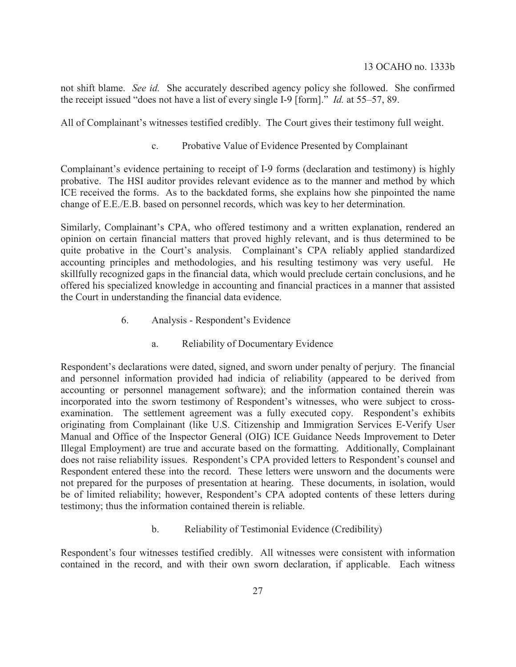#### 13 OCAHO no. 1333b

not shift blame. *See id.* She accurately described agency policy she followed. She confirmed the receipt issued "does not have a list of every single I-9 [form]." *Id.* at 55–57, 89.

All of Complainant's witnesses testified credibly. The Court gives their testimony full weight.

c. Probative Value of Evidence Presented by Complainant

Complainant's evidence pertaining to receipt of I-9 forms (declaration and testimony) is highly probative. The HSI auditor provides relevant evidence as to the manner and method by which ICE received the forms. As to the backdated forms, she explains how she pinpointed the name change of E.E./E.B. based on personnel records, which was key to her determination.

Similarly, Complainant's CPA, who offered testimony and a written explanation, rendered an opinion on certain financial matters that proved highly relevant, and is thus determined to be quite probative in the Court's analysis. Complainant's CPA reliably applied standardized accounting principles and methodologies, and his resulting testimony was very useful. He skillfully recognized gaps in the financial data, which would preclude certain conclusions, and he offered his specialized knowledge in accounting and financial practices in a manner that assisted the Court in understanding the financial data evidence.

- 6. Analysis Respondent's Evidence
	- a. Reliability of Documentary Evidence

Respondent's declarations were dated, signed, and sworn under penalty of perjury. The financial and personnel information provided had indicia of reliability (appeared to be derived from accounting or personnel management software); and the information contained therein was incorporated into the sworn testimony of Respondent's witnesses, who were subject to crossexamination. The settlement agreement was a fully executed copy. Respondent's exhibits originating from Complainant (like U.S. Citizenship and Immigration Services E-Verify User Manual and Office of the Inspector General (OIG) ICE Guidance Needs Improvement to Deter Illegal Employment) are true and accurate based on the formatting. Additionally, Complainant does not raise reliability issues. Respondent's CPA provided letters to Respondent's counsel and Respondent entered these into the record. These letters were unsworn and the documents were not prepared for the purposes of presentation at hearing. These documents, in isolation, would be of limited reliability; however, Respondent's CPA adopted contents of these letters during testimony; thus the information contained therein is reliable.

b. Reliability of Testimonial Evidence (Credibility)

Respondent's four witnesses testified credibly. All witnesses were consistent with information contained in the record, and with their own sworn declaration, if applicable. Each witness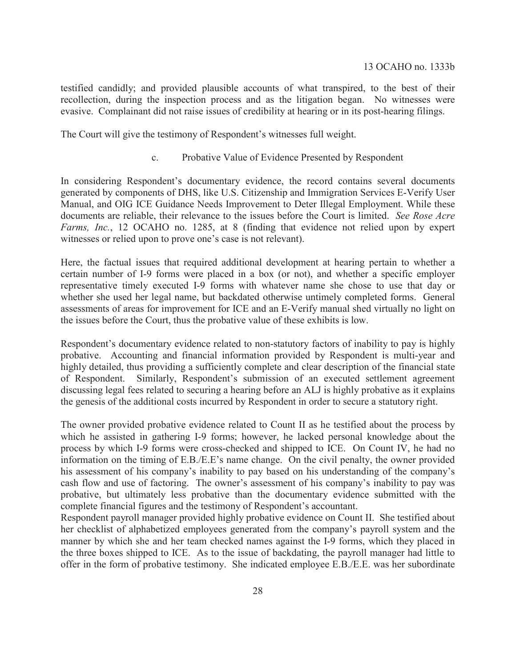testified candidly; and provided plausible accounts of what transpired, to the best of their recollection, during the inspection process and as the litigation began. No witnesses were evasive. Complainant did not raise issues of credibility at hearing or in its post-hearing filings.

The Court will give the testimony of Respondent's witnesses full weight.

c. Probative Value of Evidence Presented by Respondent

In considering Respondent's documentary evidence, the record contains several documents generated by components of DHS, like U.S. Citizenship and Immigration Services E-Verify User Manual, and OIG ICE Guidance Needs Improvement to Deter Illegal Employment. While these documents are reliable, their relevance to the issues before the Court is limited. *See Rose Acre Farms, Inc.*, 12 OCAHO no. 1285, at 8 (finding that evidence not relied upon by expert witnesses or relied upon to prove one's case is not relevant).

Here, the factual issues that required additional development at hearing pertain to whether a certain number of I-9 forms were placed in a box (or not), and whether a specific employer representative timely executed I-9 forms with whatever name she chose to use that day or whether she used her legal name, but backdated otherwise untimely completed forms. General assessments of areas for improvement for ICE and an E-Verify manual shed virtually no light on the issues before the Court, thus the probative value of these exhibits is low.

Respondent's documentary evidence related to non-statutory factors of inability to pay is highly probative. Accounting and financial information provided by Respondent is multi-year and highly detailed, thus providing a sufficiently complete and clear description of the financial state of Respondent. Similarly, Respondent's submission of an executed settlement agreement discussing legal fees related to securing a hearing before an ALJ is highly probative as it explains the genesis of the additional costs incurred by Respondent in order to secure a statutory right.

The owner provided probative evidence related to Count II as he testified about the process by which he assisted in gathering I-9 forms; however, he lacked personal knowledge about the process by which I-9 forms were cross-checked and shipped to ICE. On Count IV, he had no information on the timing of E.B./E.E's name change. On the civil penalty, the owner provided his assessment of his company's inability to pay based on his understanding of the company's cash flow and use of factoring. The owner's assessment of his company's inability to pay was probative, but ultimately less probative than the documentary evidence submitted with the complete financial figures and the testimony of Respondent's accountant.

Respondent payroll manager provided highly probative evidence on Count II. She testified about her checklist of alphabetized employees generated from the company's payroll system and the manner by which she and her team checked names against the I-9 forms, which they placed in the three boxes shipped to ICE. As to the issue of backdating, the payroll manager had little to offer in the form of probative testimony. She indicated employee E.B./E.E. was her subordinate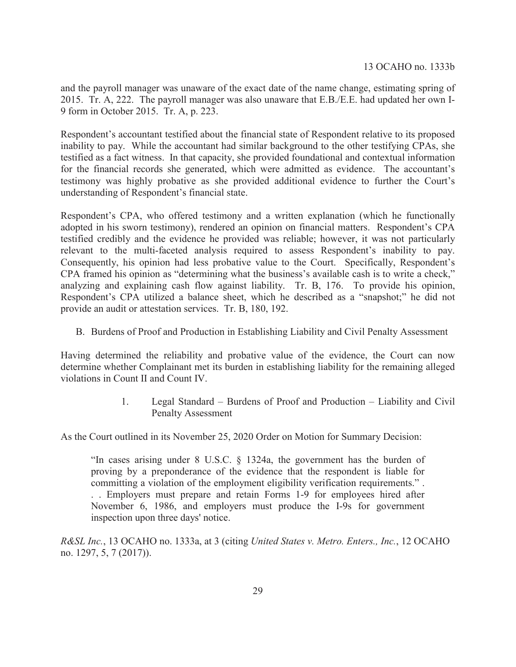and the payroll manager was unaware of the exact date of the name change, estimating spring of 2015. Tr. A, 222. The payroll manager was also unaware that E.B./E.E. had updated her own I-9 form in October 2015. Tr. A, p. 223.

Respondent's accountant testified about the financial state of Respondent relative to its proposed inability to pay. While the accountant had similar background to the other testifying CPAs, she testified as a fact witness. In that capacity, she provided foundational and contextual information for the financial records she generated, which were admitted as evidence. The accountant's testimony was highly probative as she provided additional evidence to further the Court's understanding of Respondent's financial state.

Respondent's CPA, who offered testimony and a written explanation (which he functionally adopted in his sworn testimony), rendered an opinion on financial matters. Respondent's CPA testified credibly and the evidence he provided was reliable; however, it was not particularly relevant to the multi-faceted analysis required to assess Respondent's inability to pay. Consequently, his opinion had less probative value to the Court. Specifically, Respondent's CPA framed his opinion as "determining what the business's available cash is to write a check," analyzing and explaining cash flow against liability. Tr. B, 176. To provide his opinion, Respondent's CPA utilized a balance sheet, which he described as a "snapshot;" he did not provide an audit or attestation services. Tr. B, 180, 192.

B. Burdens of Proof and Production in Establishing Liability and Civil Penalty Assessment

Having determined the reliability and probative value of the evidence, the Court can now determine whether Complainant met its burden in establishing liability for the remaining alleged violations in Count II and Count IV.

> 1. Legal Standard – Burdens of Proof and Production – Liability and Civil Penalty Assessment

As the Court outlined in its November 25, 2020 Order on Motion for Summary Decision:

"In cases arising under 8 U.S.C. § 1324a, the government has the burden of proving by a preponderance of the evidence that the respondent is liable for committing a violation of the employment eligibility verification requirements." . . . Employers must prepare and retain Forms 1-9 for employees hired after November 6, 1986, and employers must produce the I-9s for government inspection upon three days' notice.

*R&SL Inc.*, 13 OCAHO no. 1333a, at 3 (citing *United States v. Metro. Enters., Inc.*, 12 OCAHO no. 1297, 5, 7 (2017)).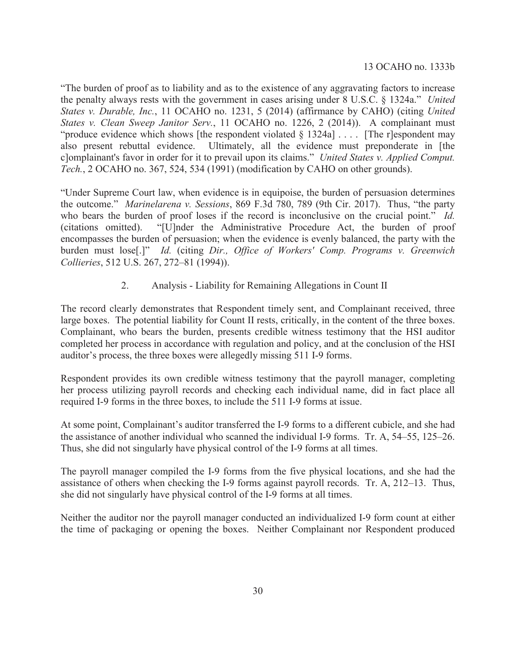"The burden of proof as to liability and as to the existence of any aggravating factors to increase the penalty always rests with the government in cases arising under 8 U.S.C. § 1324a." *United States v. Durable, Inc.*, 11 OCAHO no. 1231, 5 (2014) (affirmance by CAHO) (citing *United States v. Clean Sweep Janitor Serv.*, 11 OCAHO no. 1226, 2 (2014)). A complainant must "produce evidence which shows [the respondent violated  $\S 1324a$ ] .... [The r]espondent may also present rebuttal evidence. Ultimately, all the evidence must preponderate in [the c]omplainant's favor in order for it to prevail upon its claims." *United States v. Applied Comput. Tech.*, 2 OCAHO no. 367, 524, 534 (1991) (modification by CAHO on other grounds).

"Under Supreme Court law, when evidence is in equipoise, the burden of persuasion determines the outcome." *Marinelarena v. Sessions*, 869 F.3d 780, 789 (9th Cir. 2017). Thus, "the party who bears the burden of proof loses if the record is inconclusive on the crucial point." *Id.* (citations omitted). "[U]nder the Administrative Procedure Act, the burden of proof encompasses the burden of persuasion; when the evidence is evenly balanced, the party with the burden must lose[.]" *Id.* (citing *Dir., Office of Workers' Comp. Programs v. Greenwich Collieries*, 512 U.S. 267, 272–81 (1994)).

2. Analysis - Liability for Remaining Allegations in Count II

The record clearly demonstrates that Respondent timely sent, and Complainant received, three large boxes. The potential liability for Count II rests, critically, in the content of the three boxes. Complainant, who bears the burden, presents credible witness testimony that the HSI auditor completed her process in accordance with regulation and policy, and at the conclusion of the HSI auditor's process, the three boxes were allegedly missing 511 I-9 forms.

Respondent provides its own credible witness testimony that the payroll manager, completing her process utilizing payroll records and checking each individual name, did in fact place all required I-9 forms in the three boxes, to include the 511 I-9 forms at issue.

At some point, Complainant's auditor transferred the I-9 forms to a different cubicle, and she had the assistance of another individual who scanned the individual I-9 forms. Tr. A, 54–55, 125–26. Thus, she did not singularly have physical control of the I-9 forms at all times.

The payroll manager compiled the I-9 forms from the five physical locations, and she had the assistance of others when checking the I-9 forms against payroll records. Tr. A, 212–13. Thus, she did not singularly have physical control of the I-9 forms at all times.

Neither the auditor nor the payroll manager conducted an individualized I-9 form count at either the time of packaging or opening the boxes. Neither Complainant nor Respondent produced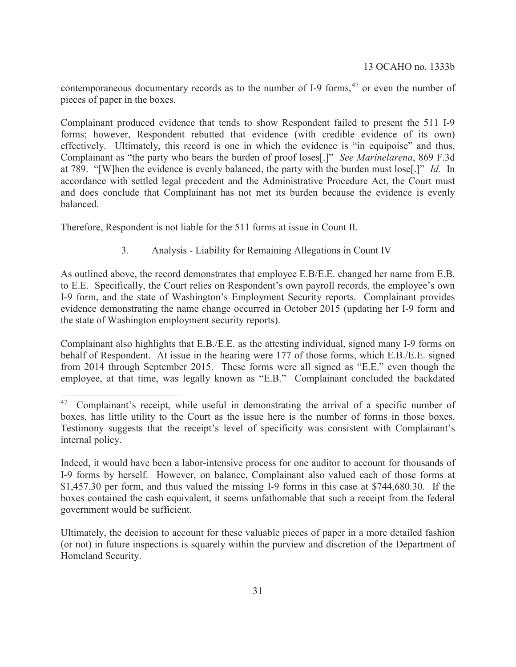contemporaneous documentary records as to the number of I-9 forms,  $47$  or even the number of pieces of paper in the boxes.

Complainant produced evidence that tends to show Respondent failed to present the 511 I-9 forms; however, Respondent rebutted that evidence (with credible evidence of its own) effectively. Ultimately, this record is one in which the evidence is "in equipoise" and thus, Complainant as "the party who bears the burden of proof loses[.]" *See Marinelarena*, 869 F.3d at 789. "[W]hen the evidence is evenly balanced, the party with the burden must lose[.]" *Id.* In accordance with settled legal precedent and the Administrative Procedure Act, the Court must and does conclude that Complainant has not met its burden because the evidence is evenly balanced.

Therefore, Respondent is not liable for the 511 forms at issue in Count II.

 $\overline{a}$ 

3. Analysis - Liability for Remaining Allegations in Count IV

As outlined above, the record demonstrates that employee E.B/E.E. changed her name from E.B. to E.E. Specifically, the Court relies on Respondent's own payroll records, the employee's own I-9 form, and the state of Washington's Employment Security reports. Complainant provides evidence demonstrating the name change occurred in October 2015 (updating her I-9 form and the state of Washington employment security reports).

Complainant also highlights that E.B./E.E. as the attesting individual, signed many I-9 forms on behalf of Respondent. At issue in the hearing were 177 of those forms, which E.B./E.E. signed from 2014 through September 2015. These forms were all signed as "E.E." even though the employee, at that time, was legally known as "E.B." Complainant concluded the backdated

Indeed, it would have been a labor-intensive process for one auditor to account for thousands of I-9 forms by herself. However, on balance, Complainant also valued each of those forms at \$1,457.30 per form, and thus valued the missing I-9 forms in this case at \$744,680.30. If the boxes contained the cash equivalent, it seems unfathomable that such a receipt from the federal government would be sufficient.

Ultimately, the decision to account for these valuable pieces of paper in a more detailed fashion (or not) in future inspections is squarely within the purview and discretion of the Department of Homeland Security.

<sup>&</sup>lt;sup>47</sup> Complainant's receipt, while useful in demonstrating the arrival of a specific number of boxes, has little utility to the Court as the issue here is the number of forms in those boxes. Testimony suggests that the receipt's level of specificity was consistent with Complainant's internal policy.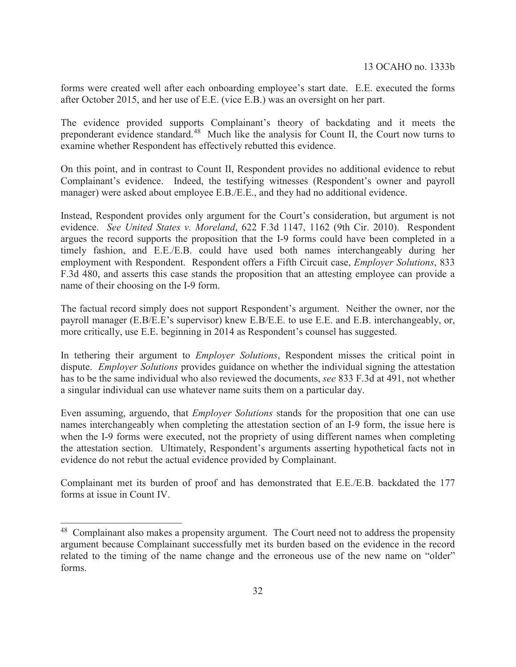forms were created well after each onboarding employee's start date. E.E. executed the forms after October 2015, and her use of E.E. (vice E.B.) was an oversight on her part.

The evidence provided supports Complainant's theory of backdating and it meets the preponderant evidence standard.<sup>48</sup> Much like the analysis for Count II, the Court now turns to examine whether Respondent has effectively rebutted this evidence.

On this point, and in contrast to Count II, Respondent provides no additional evidence to rebut Complainant's evidence. Indeed, the testifying witnesses (Respondent's owner and payroll manager) were asked about employee E.B./E.E., and they had no additional evidence.

Instead, Respondent provides only argument for the Court's consideration, but argument is not evidence. *See United States v. Moreland*, 622 F.3d 1147, 1162 (9th Cir. 2010). Respondent argues the record supports the proposition that the I-9 forms could have been completed in a timely fashion, and E.E./E.B. could have used both names interchangeably during her employment with Respondent. Respondent offers a Fifth Circuit case, *Employer Solutions*, 833 F.3d 480, and asserts this case stands the proposition that an attesting employee can provide a name of their choosing on the I-9 form.

The factual record simply does not support Respondent's argument. Neither the owner, nor the payroll manager (E.B/E.E's supervisor) knew E.B/E.E. to use E.E. and E.B. interchangeably, or, more critically, use E.E. beginning in 2014 as Respondent's counsel has suggested.

In tethering their argument to *Employer Solutions*, Respondent misses the critical point in dispute. *Employer Solutions* provides guidance on whether the individual signing the attestation has to be the same individual who also reviewed the documents, *see* 833 F.3d at 491, not whether a singular individual can use whatever name suits them on a particular day.

Even assuming, arguendo, that *Employer Solutions* stands for the proposition that one can use names interchangeably when completing the attestation section of an I-9 form, the issue here is when the I-9 forms were executed, not the propriety of using different names when completing the attestation section. Ultimately, Respondent's arguments asserting hypothetical facts not in evidence do not rebut the actual evidence provided by Complainant.

Complainant met its burden of proof and has demonstrated that E.E./E.B. backdated the 177 forms at issue in Count IV.

 $\overline{a}$ 

 $48$  Complainant also makes a propensity argument. The Court need not to address the propensity argument because Complainant successfully met its burden based on the evidence in the record related to the timing of the name change and the erroneous use of the new name on "older" forms.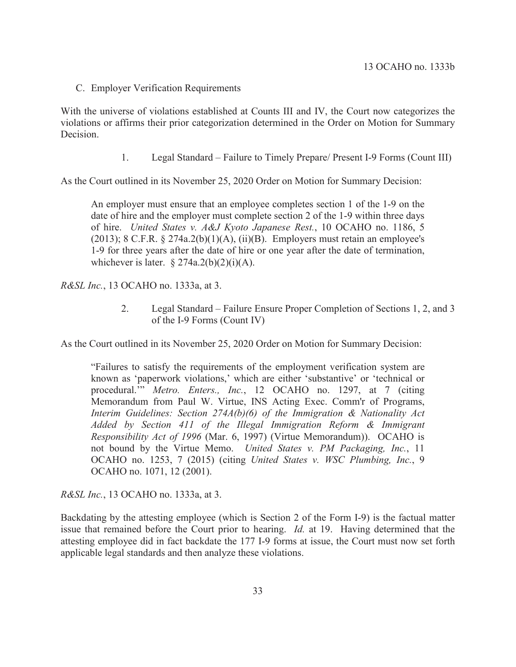C. Employer Verification Requirements

With the universe of violations established at Counts III and IV, the Court now categorizes the violations or affirms their prior categorization determined in the Order on Motion for Summary Decision.

1. Legal Standard – Failure to Timely Prepare/ Present I-9 Forms (Count III)

As the Court outlined in its November 25, 2020 Order on Motion for Summary Decision:

An employer must ensure that an employee completes section 1 of the 1-9 on the date of hire and the employer must complete section 2 of the 1-9 within three days of hire. *United States v. A&J Kyoto Japanese Rest.*, 10 OCAHO no. 1186, 5 (2013); 8 C.F.R.  $\S 274a.2(b)(1)(A)$ , (ii)(B). Employers must retain an employee's 1-9 for three years after the date of hire or one year after the date of termination, whichever is later.  $\S 274a.2(b)(2)(i)(A)$ .

*R&SL Inc.*, 13 OCAHO no. 1333a, at 3.

2. Legal Standard – Failure Ensure Proper Completion of Sections 1, 2, and 3 of the I-9 Forms (Count IV)

As the Court outlined in its November 25, 2020 Order on Motion for Summary Decision:

"Failures to satisfy the requirements of the employment verification system are known as 'paperwork violations,' which are either 'substantive' or 'technical or procedural.'" *Metro. Enters., Inc.*, 12 OCAHO no. 1297, at 7 (citing Memorandum from Paul W. Virtue, INS Acting Exec. Comm'r of Programs, *Interim Guidelines: Section 274A(b)(6) of the Immigration & Nationality Act Added by Section 411 of the Illegal Immigration Reform & Immigrant Responsibility Act of 1996* (Mar. 6, 1997) (Virtue Memorandum)). OCAHO is not bound by the Virtue Memo. *United States v. PM Packaging, Inc.*, 11 OCAHO no. 1253, 7 (2015) (citing *United States v. WSC Plumbing, Inc.*, 9 OCAHO no. 1071, 12 (2001).

*R&SL Inc.*, 13 OCAHO no. 1333a, at 3.

Backdating by the attesting employee (which is Section 2 of the Form I-9) is the factual matter issue that remained before the Court prior to hearing. *Id.* at 19. Having determined that the attesting employee did in fact backdate the 177 I-9 forms at issue, the Court must now set forth applicable legal standards and then analyze these violations.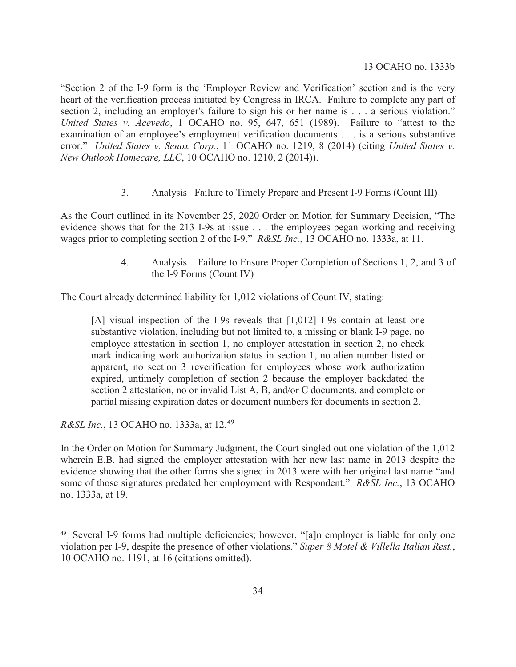"Section 2 of the I-9 form is the 'Employer Review and Verification' section and is the very heart of the verification process initiated by Congress in IRCA. Failure to complete any part of section 2, including an employer's failure to sign his or her name is . . . a serious violation." *United States v. Acevedo*, 1 OCAHO no. 95, 647, 651 (1989). Failure to "attest to the examination of an employee's employment verification documents . . . is a serious substantive error." *United States v. Senox Corp.*, 11 OCAHO no. 1219, 8 (2014) (citing *United States v. New Outlook Homecare, LLC*, 10 OCAHO no. 1210, 2 (2014)).

3. Analysis –Failure to Timely Prepare and Present I-9 Forms (Count III)

As the Court outlined in its November 25, 2020 Order on Motion for Summary Decision, "The evidence shows that for the 213 I-9s at issue . . . the employees began working and receiving wages prior to completing section 2 of the I-9." *R&SL Inc.*, 13 OCAHO no. 1333a, at 11.

> 4. Analysis – Failure to Ensure Proper Completion of Sections 1, 2, and 3 of the I-9 Forms (Count IV)

The Court already determined liability for 1,012 violations of Count IV, stating:

[A] visual inspection of the I-9s reveals that [1,012] I-9s contain at least one substantive violation, including but not limited to, a missing or blank I-9 page, no employee attestation in section 1, no employer attestation in section 2, no check mark indicating work authorization status in section 1, no alien number listed or apparent, no section 3 reverification for employees whose work authorization expired, untimely completion of section 2 because the employer backdated the section 2 attestation, no or invalid List A, B, and/or C documents, and complete or partial missing expiration dates or document numbers for documents in section 2.

*R&SL Inc.*, 13 OCAHO no. 1333a, at 12.<sup>49</sup>

 $\overline{a}$ 

In the Order on Motion for Summary Judgment, the Court singled out one violation of the 1,012 wherein E.B. had signed the employer attestation with her new last name in 2013 despite the evidence showing that the other forms she signed in 2013 were with her original last name "and some of those signatures predated her employment with Respondent." *R&SL Inc.*, 13 OCAHO no. 1333a, at 19.

<sup>49</sup> Several I-9 forms had multiple deficiencies; however, "[a]n employer is liable for only one violation per I-9, despite the presence of other violations." *Super 8 Motel & Villella Italian Rest.*, 10 OCAHO no. 1191, at 16 (citations omitted).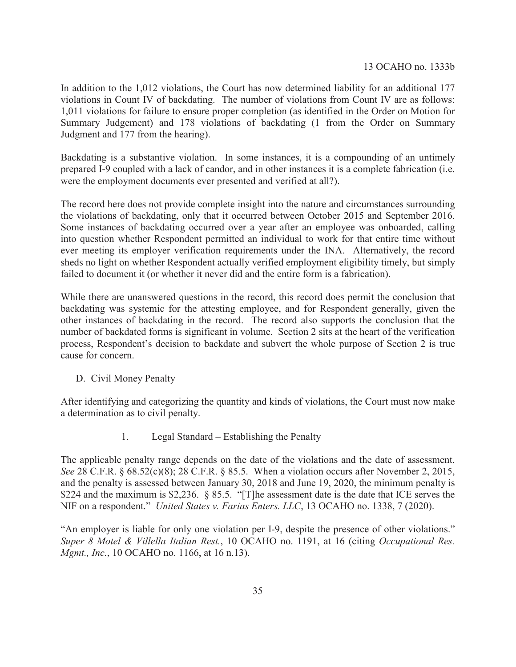#### 13 OCAHO no. 1333b

In addition to the 1,012 violations, the Court has now determined liability for an additional 177 violations in Count IV of backdating. The number of violations from Count IV are as follows: 1,011 violations for failure to ensure proper completion (as identified in the Order on Motion for Summary Judgement) and 178 violations of backdating (1 from the Order on Summary Judgment and 177 from the hearing).

Backdating is a substantive violation. In some instances, it is a compounding of an untimely prepared I-9 coupled with a lack of candor, and in other instances it is a complete fabrication (i.e. were the employment documents ever presented and verified at all?).

The record here does not provide complete insight into the nature and circumstances surrounding the violations of backdating, only that it occurred between October 2015 and September 2016. Some instances of backdating occurred over a year after an employee was onboarded, calling into question whether Respondent permitted an individual to work for that entire time without ever meeting its employer verification requirements under the INA. Alternatively, the record sheds no light on whether Respondent actually verified employment eligibility timely, but simply failed to document it (or whether it never did and the entire form is a fabrication).

While there are unanswered questions in the record, this record does permit the conclusion that backdating was systemic for the attesting employee, and for Respondent generally, given the other instances of backdating in the record. The record also supports the conclusion that the number of backdated forms is significant in volume. Section 2 sits at the heart of the verification process, Respondent's decision to backdate and subvert the whole purpose of Section 2 is true cause for concern.

D. Civil Money Penalty

After identifying and categorizing the quantity and kinds of violations, the Court must now make a determination as to civil penalty.

1. Legal Standard – Establishing the Penalty

The applicable penalty range depends on the date of the violations and the date of assessment. *See* 28 C.F.R. § 68.52(c)(8); 28 C.F.R. § 85.5. When a violation occurs after November 2, 2015, and the penalty is assessed between January 30, 2018 and June 19, 2020, the minimum penalty is \$224 and the maximum is \$2,236. § 85.5. "[T]he assessment date is the date that ICE serves the NIF on a respondent." *United States v. Farias Enters. LLC*, 13 OCAHO no. 1338, 7 (2020).

"An employer is liable for only one violation per I-9, despite the presence of other violations." *Super 8 Motel & Villella Italian Rest.*, 10 OCAHO no. 1191, at 16 (citing *Occupational Res. Mgmt., Inc.*, 10 OCAHO no. 1166, at 16 n.13).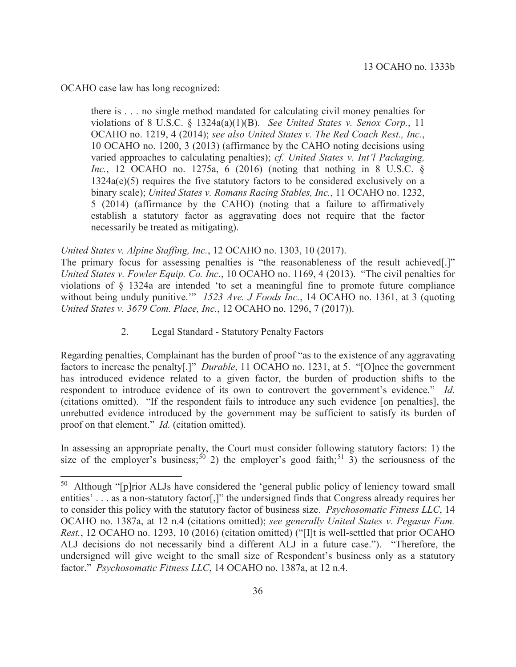OCAHO case law has long recognized:

 $\overline{a}$ 

there is . . . no single method mandated for calculating civil money penalties for violations of 8 U.S.C. § 1324a(a)(1)(B). *See United States v. Senox Corp.*, 11 OCAHO no. 1219, 4 (2014); *see also United States v. The Red Coach Rest., Inc.*, 10 OCAHO no. 1200, 3 (2013) (affirmance by the CAHO noting decisions using varied approaches to calculating penalties); *cf. United States v. Int'l Packaging, Inc.*, 12 OCAHO no. 1275a, 6 (2016) (noting that nothing in 8 U.S.C. § 1324a(e)(5) requires the five statutory factors to be considered exclusively on a binary scale); *United States v. Romans Racing Stables, Inc.*, 11 OCAHO no. 1232, 5 (2014) (affirmance by the CAHO) (noting that a failure to affirmatively establish a statutory factor as aggravating does not require that the factor necessarily be treated as mitigating).

*United States v. Alpine Staffing, Inc.*, 12 OCAHO no. 1303, 10 (2017).

The primary focus for assessing penalties is "the reasonableness of the result achieved.]" *United States v. Fowler Equip. Co. Inc.*, 10 OCAHO no. 1169, 4 (2013). "The civil penalties for violations of § 1324a are intended 'to set a meaningful fine to promote future compliance without being unduly punitive.'" *1523 Ave. J Foods Inc.*, 14 OCAHO no. 1361, at 3 (quoting *United States v. 3679 Com. Place, Inc.*, 12 OCAHO no. 1296, 7 (2017)).

2. Legal Standard - Statutory Penalty Factors

Regarding penalties, Complainant has the burden of proof "as to the existence of any aggravating factors to increase the penalty[.]" *Durable*, 11 OCAHO no. 1231, at 5. "[O]nce the government has introduced evidence related to a given factor, the burden of production shifts to the respondent to introduce evidence of its own to controvert the government's evidence." *Id.*  (citations omitted). "If the respondent fails to introduce any such evidence [on penalties], the unrebutted evidence introduced by the government may be sufficient to satisfy its burden of proof on that element." *Id.* (citation omitted).

In assessing an appropriate penalty, the Court must consider following statutory factors: 1) the size of the employer's business;<sup>50</sup> 2) the employer's good faith;<sup>51</sup> 3) the seriousness of the

<sup>50</sup> Although "[p]rior ALJs have considered the 'general public policy of leniency toward small entities' . . . as a non-statutory factor[,]" the undersigned finds that Congress already requires her to consider this policy with the statutory factor of business size. *Psychosomatic Fitness LLC*, 14 OCAHO no. 1387a, at 12 n.4 (citations omitted); *see generally United States v. Pegasus Fam. Rest.*, 12 OCAHO no. 1293, 10 (2016) (citation omitted) ("[I]t is well-settled that prior OCAHO ALJ decisions do not necessarily bind a different ALJ in a future case."). "Therefore, the undersigned will give weight to the small size of Respondent's business only as a statutory factor." *Psychosomatic Fitness LLC*, 14 OCAHO no. 1387a, at 12 n.4.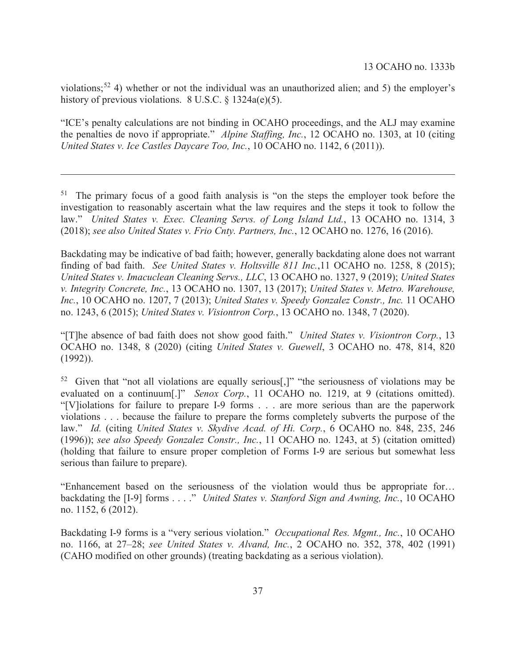violations;<sup>52</sup> 4) whether or not the individual was an unauthorized alien; and 5) the employer's history of previous violations. 8 U.S.C. § 1324a(e)(5).

"ICE's penalty calculations are not binding in OCAHO proceedings, and the ALJ may examine the penalties de novo if appropriate." *Alpine Staffing, Inc.*, 12 OCAHO no. 1303, at 10 (citing *United States v. Ice Castles Daycare Too, Inc.*, 10 OCAHO no. 1142, 6 (2011)).

 $\overline{a}$ 

 $51$  The primary focus of a good faith analysis is "on the steps the employer took before the investigation to reasonably ascertain what the law requires and the steps it took to follow the law." *United States v. Exec. Cleaning Servs. of Long Island Ltd.*, 13 OCAHO no. 1314, 3 (2018); *see also United States v. Frio Cnty. Partners, Inc.*, 12 OCAHO no. 1276, 16 (2016).

Backdating may be indicative of bad faith; however, generally backdating alone does not warrant finding of bad faith. *See United States v. Holtsville 811 Inc.*,11 OCAHO no. 1258, 8 (2015); *United States v. Imacuclean Cleaning Servs., LLC*, 13 OCAHO no. 1327, 9 (2019); *United States v. Integrity Concrete, Inc.*, 13 OCAHO no. 1307, 13 (2017); *United States v. Metro. Warehouse, Inc.*, 10 OCAHO no. 1207, 7 (2013); *United States v. Speedy Gonzalez Constr., Inc.* 11 OCAHO no. 1243, 6 (2015); *United States v. Visiontron Corp.*, 13 OCAHO no. 1348, 7 (2020).

"[T]he absence of bad faith does not show good faith." *United States v. Visiontron Corp.*, 13 OCAHO no. 1348, 8 (2020) (citing *United States v. Guewell*, 3 OCAHO no. 478, 814, 820 (1992)).

 $52$  Given that "not all violations are equally serious[,]" "the seriousness of violations may be evaluated on a continuum[.]" *Senox Corp.*, 11 OCAHO no. 1219, at 9 (citations omitted). "[V]iolations for failure to prepare I-9 forms . . . are more serious than are the paperwork violations . . . because the failure to prepare the forms completely subverts the purpose of the law." *Id.* (citing *United States v. Skydive Acad. of Hi. Corp.*, 6 OCAHO no. 848, 235, 246 (1996)); *see also Speedy Gonzalez Constr., Inc.*, 11 OCAHO no. 1243, at 5) (citation omitted) (holding that failure to ensure proper completion of Forms I-9 are serious but somewhat less serious than failure to prepare).

"Enhancement based on the seriousness of the violation would thus be appropriate for… backdating the [I-9] forms . . . ." *United States v. Stanford Sign and Awning, Inc.*, 10 OCAHO no. 1152, 6 (2012).

Backdating I-9 forms is a "very serious violation." *Occupational Res. Mgmt., Inc.*, 10 OCAHO no. 1166, at 27–28; *see United States v. Alvand, Inc.*, 2 OCAHO no. 352, 378, 402 (1991) (CAHO modified on other grounds) (treating backdating as a serious violation).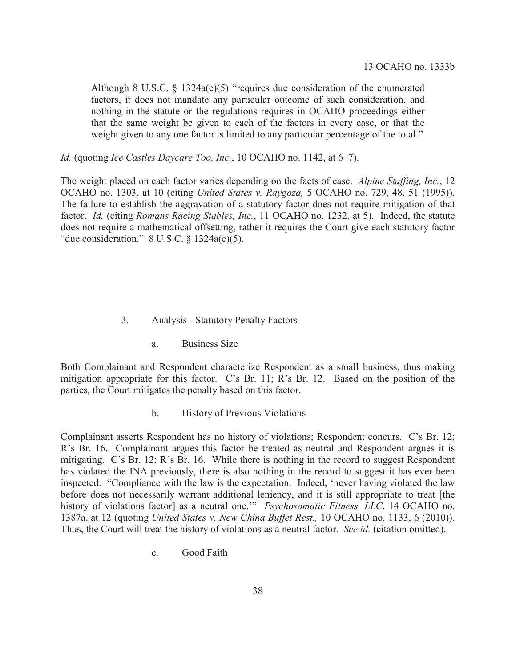Although 8 U.S.C. § 1324a(e)(5) "requires due consideration of the enumerated factors, it does not mandate any particular outcome of such consideration, and nothing in the statute or the regulations requires in OCAHO proceedings either that the same weight be given to each of the factors in every case, or that the weight given to any one factor is limited to any particular percentage of the total."

*Id.* (quoting *Ice Castles Daycare Too, Inc.*, 10 OCAHO no. 1142, at 6–7).

The weight placed on each factor varies depending on the facts of case. *Alpine Staffing, Inc.*, 12 OCAHO no. 1303, at 10 (citing *United States v. Raygoza,* 5 OCAHO no. 729, 48, 51 (1995)). The failure to establish the aggravation of a statutory factor does not require mitigation of that factor. *Id.* (citing *Romans Racing Stables, Inc.*, 11 OCAHO no. 1232, at 5). Indeed, the statute does not require a mathematical offsetting, rather it requires the Court give each statutory factor "due consideration."  $8$  U.S.C.  $§$  1324a(e)(5).

#### 3. Analysis - Statutory Penalty Factors

a. Business Size

Both Complainant and Respondent characterize Respondent as a small business, thus making mitigation appropriate for this factor. C's Br. 11; R's Br. 12. Based on the position of the parties, the Court mitigates the penalty based on this factor.

#### b. History of Previous Violations

Complainant asserts Respondent has no history of violations; Respondent concurs. C's Br. 12; R's Br. 16. Complainant argues this factor be treated as neutral and Respondent argues it is mitigating. C's Br. 12; R's Br. 16. While there is nothing in the record to suggest Respondent has violated the INA previously, there is also nothing in the record to suggest it has ever been inspected. "Compliance with the law is the expectation. Indeed, 'never having violated the law before does not necessarily warrant additional leniency, and it is still appropriate to treat [the history of violations factor] as a neutral one.'" *Psychosomatic Fitness, LLC*, 14 OCAHO no. 1387a, at 12 (quoting *United States v. New China Buffet Rest.,* 10 OCAHO no. 1133, 6 (2010)). Thus, the Court will treat the history of violations as a neutral factor. *See id.* (citation omitted).

c. Good Faith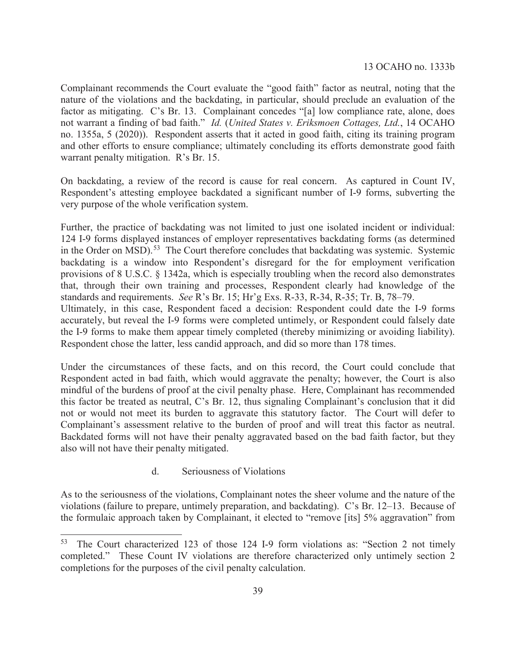#### 13 OCAHO no. 1333b

Complainant recommends the Court evaluate the "good faith" factor as neutral, noting that the nature of the violations and the backdating, in particular, should preclude an evaluation of the factor as mitigating. C's Br. 13. Complainant concedes "[a] low compliance rate, alone, does not warrant a finding of bad faith." *Id.* (*United States v. Eriksmoen Cottages, Ltd.*, 14 OCAHO no. 1355a, 5 (2020)). Respondent asserts that it acted in good faith, citing its training program and other efforts to ensure compliance; ultimately concluding its efforts demonstrate good faith warrant penalty mitigation. R's Br. 15.

On backdating, a review of the record is cause for real concern. As captured in Count IV, Respondent's attesting employee backdated a significant number of I-9 forms, subverting the very purpose of the whole verification system.

Further, the practice of backdating was not limited to just one isolated incident or individual: 124 I-9 forms displayed instances of employer representatives backdating forms (as determined in the Order on MSD).<sup>53</sup> The Court therefore concludes that backdating was systemic. Systemic backdating is a window into Respondent's disregard for the for employment verification provisions of 8 U.S.C. § 1342a, which is especially troubling when the record also demonstrates that, through their own training and processes, Respondent clearly had knowledge of the standards and requirements. *See* R's Br. 15; Hr'g Exs. R-33, R-34, R-35; Tr. B, 78–79. Ultimately, in this case, Respondent faced a decision: Respondent could date the I-9 forms accurately, but reveal the I-9 forms were completed untimely, or Respondent could falsely date the I-9 forms to make them appear timely completed (thereby minimizing or avoiding liability). Respondent chose the latter, less candid approach, and did so more than 178 times.

Under the circumstances of these facts, and on this record, the Court could conclude that Respondent acted in bad faith, which would aggravate the penalty; however, the Court is also mindful of the burdens of proof at the civil penalty phase. Here, Complainant has recommended this factor be treated as neutral, C's Br. 12, thus signaling Complainant's conclusion that it did not or would not meet its burden to aggravate this statutory factor. The Court will defer to Complainant's assessment relative to the burden of proof and will treat this factor as neutral. Backdated forms will not have their penalty aggravated based on the bad faith factor, but they also will not have their penalty mitigated.

d. Seriousness of Violations

 $\overline{a}$ 

As to the seriousness of the violations, Complainant notes the sheer volume and the nature of the violations (failure to prepare, untimely preparation, and backdating). C's Br. 12–13. Because of the formulaic approach taken by Complainant, it elected to "remove [its] 5% aggravation" from

<sup>&</sup>lt;sup>53</sup> The Court characterized 123 of those 124 I-9 form violations as: "Section 2 not timely completed." These Count IV violations are therefore characterized only untimely section 2 completions for the purposes of the civil penalty calculation.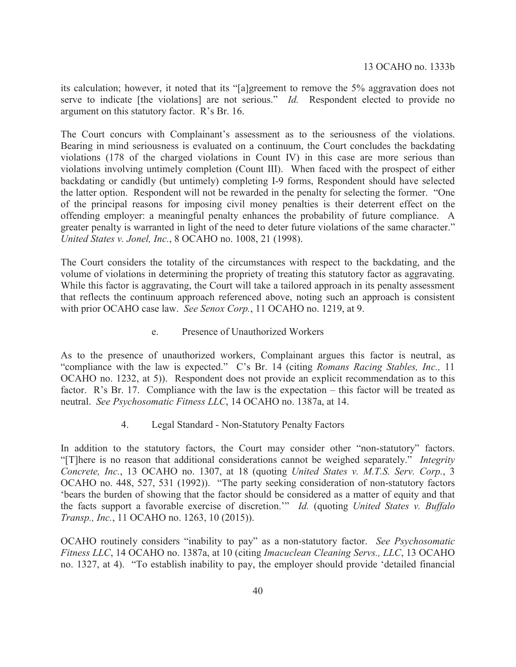its calculation; however, it noted that its "[a]greement to remove the 5% aggravation does not serve to indicate [the violations] are not serious." *Id.* Respondent elected to provide no argument on this statutory factor. R's Br. 16.

The Court concurs with Complainant's assessment as to the seriousness of the violations. Bearing in mind seriousness is evaluated on a continuum, the Court concludes the backdating violations (178 of the charged violations in Count IV) in this case are more serious than violations involving untimely completion (Count III). When faced with the prospect of either backdating or candidly (but untimely) completing I-9 forms, Respondent should have selected the latter option. Respondent will not be rewarded in the penalty for selecting the former. "One of the principal reasons for imposing civil money penalties is their deterrent effect on the offending employer: a meaningful penalty enhances the probability of future compliance. A greater penalty is warranted in light of the need to deter future violations of the same character." *United States v. Jonel, Inc.*, 8 OCAHO no. 1008, 21 (1998).

The Court considers the totality of the circumstances with respect to the backdating, and the volume of violations in determining the propriety of treating this statutory factor as aggravating. While this factor is aggravating, the Court will take a tailored approach in its penalty assessment that reflects the continuum approach referenced above, noting such an approach is consistent with prior OCAHO case law. *See Senox Corp.*, 11 OCAHO no. 1219, at 9.

e. Presence of Unauthorized Workers

As to the presence of unauthorized workers, Complainant argues this factor is neutral, as "compliance with the law is expected." C's Br. 14 (citing *Romans Racing Stables, Inc.,* 11 OCAHO no. 1232, at 5)). Respondent does not provide an explicit recommendation as to this factor. R's Br. 17. Compliance with the law is the expectation – this factor will be treated as neutral. *See Psychosomatic Fitness LLC*, 14 OCAHO no. 1387a, at 14.

4. Legal Standard - Non-Statutory Penalty Factors

In addition to the statutory factors, the Court may consider other "non-statutory" factors. "[T]here is no reason that additional considerations cannot be weighed separately." *Integrity Concrete, Inc.*, 13 OCAHO no. 1307, at 18 (quoting *United States v. M.T.S. Serv. Corp.*, 3 OCAHO no. 448, 527, 531 (1992)). "The party seeking consideration of non-statutory factors 'bears the burden of showing that the factor should be considered as a matter of equity and that the facts support a favorable exercise of discretion.'" *Id.* (quoting *United States v. Buffalo Transp., Inc.*, 11 OCAHO no. 1263, 10 (2015)).

OCAHO routinely considers "inability to pay" as a non-statutory factor. *See Psychosomatic Fitness LLC*, 14 OCAHO no. 1387a, at 10 (citing *Imacuclean Cleaning Servs., LLC*, 13 OCAHO no. 1327, at 4). "To establish inability to pay, the employer should provide 'detailed financial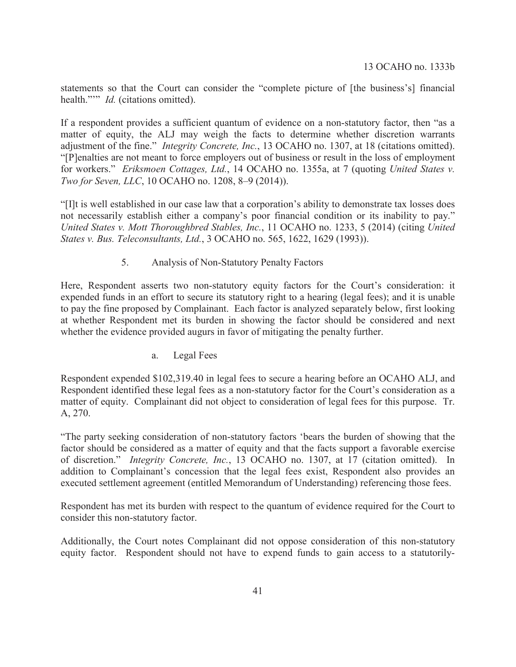statements so that the Court can consider the "complete picture of [the business's] financial health."" *Id.* (citations omitted).

If a respondent provides a sufficient quantum of evidence on a non-statutory factor, then "as a matter of equity, the ALJ may weigh the facts to determine whether discretion warrants adjustment of the fine." *Integrity Concrete, Inc.*, 13 OCAHO no. 1307, at 18 (citations omitted). "[P]enalties are not meant to force employers out of business or result in the loss of employment for workers." *Eriksmoen Cottages, Ltd.*, 14 OCAHO no. 1355a, at 7 (quoting *United States v. Two for Seven, LLC*, 10 OCAHO no. 1208, 8–9 (2014)).

"[I]t is well established in our case law that a corporation's ability to demonstrate tax losses does not necessarily establish either a company's poor financial condition or its inability to pay." *United States v. Mott Thoroughbred Stables, Inc.*, 11 OCAHO no. 1233, 5 (2014) (citing *United States v. Bus. Teleconsultants, Ltd.*, 3 OCAHO no. 565, 1622, 1629 (1993)).

5. Analysis of Non-Statutory Penalty Factors

Here, Respondent asserts two non-statutory equity factors for the Court's consideration: it expended funds in an effort to secure its statutory right to a hearing (legal fees); and it is unable to pay the fine proposed by Complainant. Each factor is analyzed separately below, first looking at whether Respondent met its burden in showing the factor should be considered and next whether the evidence provided augurs in favor of mitigating the penalty further.

a. Legal Fees

Respondent expended \$102,319.40 in legal fees to secure a hearing before an OCAHO ALJ, and Respondent identified these legal fees as a non-statutory factor for the Court's consideration as a matter of equity. Complainant did not object to consideration of legal fees for this purpose. Tr. A, 270.

"The party seeking consideration of non-statutory factors 'bears the burden of showing that the factor should be considered as a matter of equity and that the facts support a favorable exercise of discretion." *Integrity Concrete, Inc.*, 13 OCAHO no. 1307, at 17 (citation omitted). In addition to Complainant's concession that the legal fees exist, Respondent also provides an executed settlement agreement (entitled Memorandum of Understanding) referencing those fees.

Respondent has met its burden with respect to the quantum of evidence required for the Court to consider this non-statutory factor.

Additionally, the Court notes Complainant did not oppose consideration of this non-statutory equity factor. Respondent should not have to expend funds to gain access to a statutorily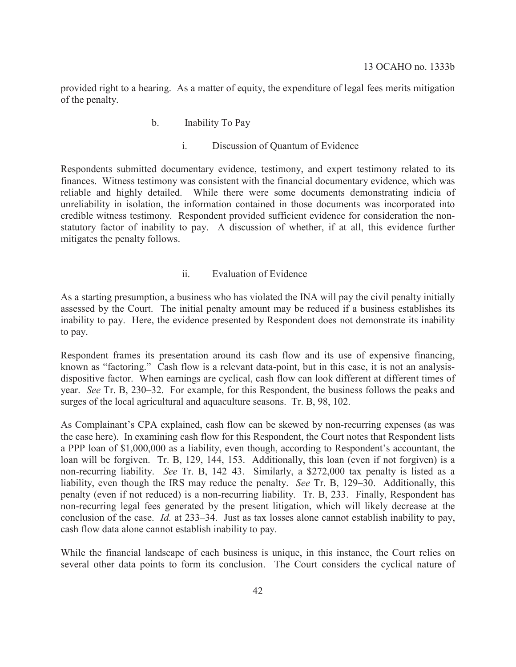provided right to a hearing. As a matter of equity, the expenditure of legal fees merits mitigation of the penalty.

b. Inability To Pay

### i. Discussion of Quantum of Evidence

Respondents submitted documentary evidence, testimony, and expert testimony related to its finances. Witness testimony was consistent with the financial documentary evidence, which was reliable and highly detailed. While there were some documents demonstrating indicia of unreliability in isolation, the information contained in those documents was incorporated into credible witness testimony. Respondent provided sufficient evidence for consideration the nonstatutory factor of inability to pay. A discussion of whether, if at all, this evidence further mitigates the penalty follows.

### ii. Evaluation of Evidence

As a starting presumption, a business who has violated the INA will pay the civil penalty initially assessed by the Court. The initial penalty amount may be reduced if a business establishes its inability to pay. Here, the evidence presented by Respondent does not demonstrate its inability to pay.

Respondent frames its presentation around its cash flow and its use of expensive financing, known as "factoring." Cash flow is a relevant data-point, but in this case, it is not an analysisdispositive factor. When earnings are cyclical, cash flow can look different at different times of year. *See* Tr. B, 230–32. For example, for this Respondent, the business follows the peaks and surges of the local agricultural and aquaculture seasons. Tr. B, 98, 102.

As Complainant's CPA explained, cash flow can be skewed by non-recurring expenses (as was the case here). In examining cash flow for this Respondent, the Court notes that Respondent lists a PPP loan of \$1,000,000 as a liability, even though, according to Respondent's accountant, the loan will be forgiven. Tr. B, 129, 144, 153. Additionally, this loan (even if not forgiven) is a non-recurring liability. *See* Tr. B, 142–43. Similarly, a \$272,000 tax penalty is listed as a liability, even though the IRS may reduce the penalty. *See* Tr. B, 129–30. Additionally, this penalty (even if not reduced) is a non-recurring liability. Tr. B, 233. Finally, Respondent has non-recurring legal fees generated by the present litigation, which will likely decrease at the conclusion of the case. *Id.* at 233–34. Just as tax losses alone cannot establish inability to pay, cash flow data alone cannot establish inability to pay.

While the financial landscape of each business is unique, in this instance, the Court relies on several other data points to form its conclusion. The Court considers the cyclical nature of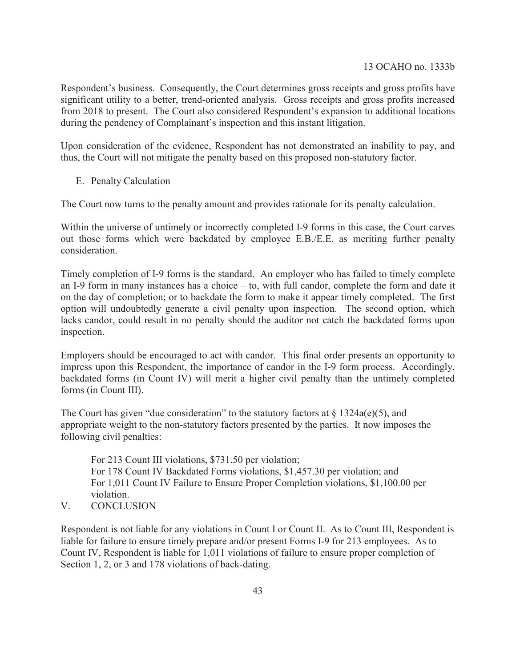### 13 OCAHO no. 1333b

Respondent's business. Consequently, the Court determines gross receipts and gross profits have significant utility to a better, trend-oriented analysis. Gross receipts and gross profits increased from 2018 to present. The Court also considered Respondent's expansion to additional locations during the pendency of Complainant's inspection and this instant litigation.

Upon consideration of the evidence, Respondent has not demonstrated an inability to pay, and thus, the Court will not mitigate the penalty based on this proposed non-statutory factor.

E. Penalty Calculation

The Court now turns to the penalty amount and provides rationale for its penalty calculation.

Within the universe of untimely or incorrectly completed I-9 forms in this case, the Court carves out those forms which were backdated by employee E.B./E.E. as meriting further penalty consideration.

Timely completion of I-9 forms is the standard. An employer who has failed to timely complete an I-9 form in many instances has a choice – to, with full candor, complete the form and date it on the day of completion; or to backdate the form to make it appear timely completed. The first option will undoubtedly generate a civil penalty upon inspection. The second option, which lacks candor, could result in no penalty should the auditor not catch the backdated forms upon inspection.

Employers should be encouraged to act with candor. This final order presents an opportunity to impress upon this Respondent, the importance of candor in the I-9 form process. Accordingly, backdated forms (in Count IV) will merit a higher civil penalty than the untimely completed forms (in Count III).

The Court has given "due consideration" to the statutory factors at  $\S 1324a(e)(5)$ , and appropriate weight to the non-statutory factors presented by the parties. It now imposes the following civil penalties:

For 213 Count III violations, \$731.50 per violation; For 178 Count IV Backdated Forms violations, \$1,457.30 per violation; and For 1,011 Count IV Failure to Ensure Proper Completion violations, \$1,100.00 per violation.

V. CONCLUSION

Respondent is not liable for any violations in Count I or Count II. As to Count III, Respondent is liable for failure to ensure timely prepare and/or present Forms I-9 for 213 employees. As to Count IV, Respondent is liable for 1,011 violations of failure to ensure proper completion of Section 1, 2, or 3 and 178 violations of back-dating.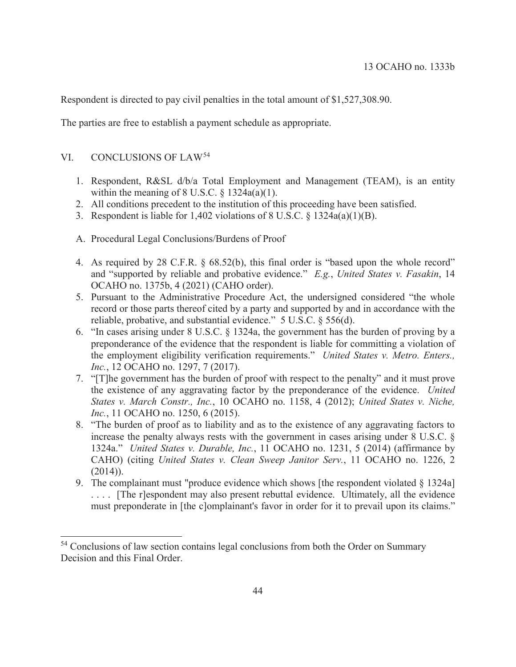Respondent is directed to pay civil penalties in the total amount of \$1,527,308.90.

The parties are free to establish a payment schedule as appropriate.

## VI. CONCLUSIONS OF LAW<sup>54</sup>

 $\overline{a}$ 

- 1. Respondent, R&SL d/b/a Total Employment and Management (TEAM), is an entity within the meaning of  $8 \text{ U.S.C.} \$   $1324a(a)(1)$ .
- 2. All conditions precedent to the institution of this proceeding have been satisfied.
- 3. Respondent is liable for 1,402 violations of 8 U.S.C. § 1324a(a)(1)(B).
- A. Procedural Legal Conclusions/Burdens of Proof
- 4. As required by 28 C.F.R. § 68.52(b), this final order is "based upon the whole record" and "supported by reliable and probative evidence." *E.g.*, *United States v. Fasakin*, 14 OCAHO no. 1375b, 4 (2021) (CAHO order).
- 5. Pursuant to the Administrative Procedure Act, the undersigned considered "the whole record or those parts thereof cited by a party and supported by and in accordance with the reliable, probative, and substantial evidence." 5 U.S.C. § 556(d).
- 6. "In cases arising under 8 U.S.C. § 1324a, the government has the burden of proving by a preponderance of the evidence that the respondent is liable for committing a violation of the employment eligibility verification requirements." *United States v. Metro. Enters., Inc.*, 12 OCAHO no. 1297, 7 (2017).
- 7. "[T]he government has the burden of proof with respect to the penalty" and it must prove the existence of any aggravating factor by the preponderance of the evidence. *United States v. March Constr., Inc.*, 10 OCAHO no. 1158, 4 (2012); *United States v. Niche, Inc.*, 11 OCAHO no. 1250, 6 (2015).
- 8. "The burden of proof as to liability and as to the existence of any aggravating factors to increase the penalty always rests with the government in cases arising under 8 U.S.C. § 1324a." *United States v. Durable, Inc.*, 11 OCAHO no. 1231, 5 (2014) (affirmance by CAHO) (citing *United States v. Clean Sweep Janitor Serv.*, 11 OCAHO no. 1226, 2  $(2014)$ ).
- 9. The complainant must "produce evidence which shows [the respondent violated § 1324a] . . . . [The r]espondent may also present rebuttal evidence. Ultimately, all the evidence must preponderate in [the c]omplainant's favor in order for it to prevail upon its claims."

<sup>&</sup>lt;sup>54</sup> Conclusions of law section contains legal conclusions from both the Order on Summary Decision and this Final Order.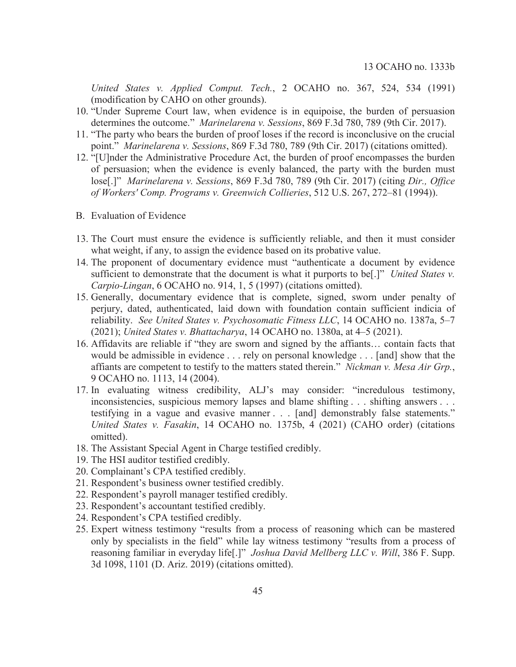*United States v. Applied Comput. Tech.*, 2 OCAHO no. 367, 524, 534 (1991) (modification by CAHO on other grounds).

- 10. "Under Supreme Court law, when evidence is in equipoise, the burden of persuasion determines the outcome." *Marinelarena v. Sessions*, 869 F.3d 780, 789 (9th Cir. 2017).
- 11. "The party who bears the burden of proof loses if the record is inconclusive on the crucial point." *Marinelarena v. Sessions*, 869 F.3d 780, 789 (9th Cir. 2017) (citations omitted).
- 12. "[U]nder the Administrative Procedure Act, the burden of proof encompasses the burden of persuasion; when the evidence is evenly balanced, the party with the burden must lose[.]" *Marinelarena v. Sessions*, 869 F.3d 780, 789 (9th Cir. 2017) (citing *Dir., Office of Workers' Comp. Programs v. Greenwich Collieries*, 512 U.S. 267, 272–81 (1994)).
- B. Evaluation of Evidence
- 13. The Court must ensure the evidence is sufficiently reliable, and then it must consider what weight, if any, to assign the evidence based on its probative value.
- 14. The proponent of documentary evidence must "authenticate a document by evidence sufficient to demonstrate that the document is what it purports to be[.]" *United States v. Carpio-Lingan*, 6 OCAHO no. 914, 1, 5 (1997) (citations omitted).
- 15. Generally, documentary evidence that is complete, signed, sworn under penalty of perjury, dated, authenticated, laid down with foundation contain sufficient indicia of reliability. *See United States v. Psychosomatic Fitness LLC*, 14 OCAHO no. 1387a, 5–7 (2021); *United States v. Bhattacharya*, 14 OCAHO no. 1380a, at 4–5 (2021).
- 16. Affidavits are reliable if "they are sworn and signed by the affiants… contain facts that would be admissible in evidence . . . rely on personal knowledge . . . [and] show that the affiants are competent to testify to the matters stated therein." *Nickman v. Mesa Air Grp.*, 9 OCAHO no. 1113, 14 (2004).
- 17. In evaluating witness credibility, ALJ's may consider: "incredulous testimony, inconsistencies, suspicious memory lapses and blame shifting . . . shifting answers . . . testifying in a vague and evasive manner . . . [and] demonstrably false statements." *United States v. Fasakin*, 14 OCAHO no. 1375b, 4 (2021) (CAHO order) (citations omitted).
- 18. The Assistant Special Agent in Charge testified credibly.
- 19. The HSI auditor testified credibly.
- 20. Complainant's CPA testified credibly.
- 21. Respondent's business owner testified credibly.
- 22. Respondent's payroll manager testified credibly.
- 23. Respondent's accountant testified credibly.
- 24. Respondent's CPA testified credibly.
- 25. Expert witness testimony "results from a process of reasoning which can be mastered only by specialists in the field" while lay witness testimony "results from a process of reasoning familiar in everyday life[.]" *Joshua David Mellberg LLC v. Will*, 386 F. Supp. 3d 1098, 1101 (D. Ariz. 2019) (citations omitted).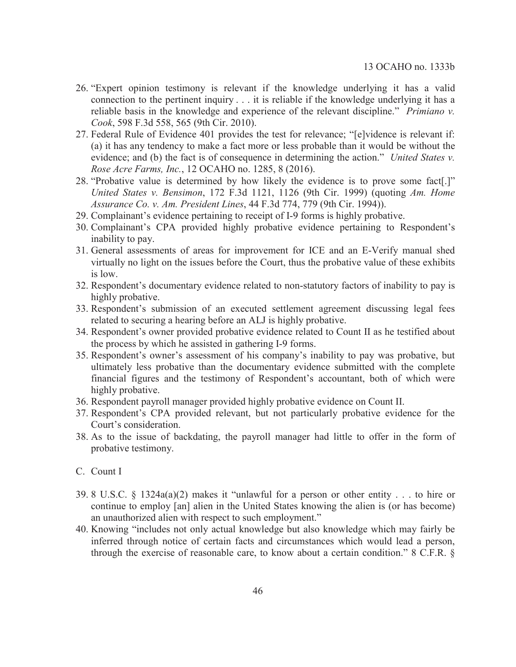- 26. "Expert opinion testimony is relevant if the knowledge underlying it has a valid connection to the pertinent inquiry . . . it is reliable if the knowledge underlying it has a reliable basis in the knowledge and experience of the relevant discipline." *Primiano v. Cook*, 598 F.3d 558, 565 (9th Cir. 2010).
- 27. Federal Rule of Evidence 401 provides the test for relevance; "[e]vidence is relevant if: (a) it has any tendency to make a fact more or less probable than it would be without the evidence; and (b) the fact is of consequence in determining the action." *United States v. Rose Acre Farms, Inc.*, 12 OCAHO no. 1285, 8 (2016).
- 28. "Probative value is determined by how likely the evidence is to prove some fact[.]" *United States v. Bensimon*, 172 F.3d 1121, 1126 (9th Cir. 1999) (quoting *Am. Home Assurance Co. v. Am. President Lines*, 44 F.3d 774, 779 (9th Cir. 1994)).
- 29. Complainant's evidence pertaining to receipt of I-9 forms is highly probative.
- 30. Complainant's CPA provided highly probative evidence pertaining to Respondent's inability to pay.
- 31. General assessments of areas for improvement for ICE and an E-Verify manual shed virtually no light on the issues before the Court, thus the probative value of these exhibits is low.
- 32. Respondent's documentary evidence related to non-statutory factors of inability to pay is highly probative.
- 33. Respondent's submission of an executed settlement agreement discussing legal fees related to securing a hearing before an ALJ is highly probative.
- 34. Respondent's owner provided probative evidence related to Count II as he testified about the process by which he assisted in gathering I-9 forms.
- 35. Respondent's owner's assessment of his company's inability to pay was probative, but ultimately less probative than the documentary evidence submitted with the complete financial figures and the testimony of Respondent's accountant, both of which were highly probative.
- 36. Respondent payroll manager provided highly probative evidence on Count II.
- 37. Respondent's CPA provided relevant, but not particularly probative evidence for the Court's consideration.
- 38. As to the issue of backdating, the payroll manager had little to offer in the form of probative testimony.
- C. Count I
- 39. 8 U.S.C. § 1324a(a)(2) makes it "unlawful for a person or other entity . . . to hire or continue to employ [an] alien in the United States knowing the alien is (or has become) an unauthorized alien with respect to such employment."
- 40. Knowing "includes not only actual knowledge but also knowledge which may fairly be inferred through notice of certain facts and circumstances which would lead a person, through the exercise of reasonable care, to know about a certain condition." 8 C.F.R. §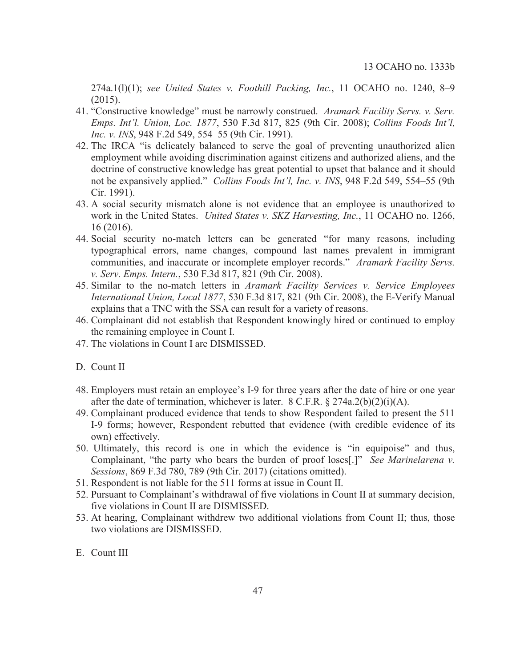274a.1(l)(1); *see United States v. Foothill Packing, Inc.*, 11 OCAHO no. 1240, 8–9 (2015).

- 41. "Constructive knowledge" must be narrowly construed. *Aramark Facility Servs. v. Serv. Emps. Int'l. Union, Loc. 1877*, 530 F.3d 817, 825 (9th Cir. 2008); *Collins Foods Int'l, Inc. v. INS*, 948 F.2d 549, 554–55 (9th Cir. 1991).
- 42. The IRCA "is delicately balanced to serve the goal of preventing unauthorized alien employment while avoiding discrimination against citizens and authorized aliens, and the doctrine of constructive knowledge has great potential to upset that balance and it should not be expansively applied." *Collins Foods Int'l, Inc. v. INS*, 948 F.2d 549, 554–55 (9th Cir. 1991).
- 43. A social security mismatch alone is not evidence that an employee is unauthorized to work in the United States. *United States v. SKZ Harvesting, Inc.*, 11 OCAHO no. 1266, 16 (2016).
- 44. Social security no-match letters can be generated "for many reasons, including typographical errors, name changes, compound last names prevalent in immigrant communities, and inaccurate or incomplete employer records." *Aramark Facility Servs. v. Serv. Emps. Intern.*, 530 F.3d 817, 821 (9th Cir. 2008).
- 45. Similar to the no-match letters in *Aramark Facility Services v. Service Employees International Union, Local 1877*, 530 F.3d 817, 821 (9th Cir. 2008), the E-Verify Manual explains that a TNC with the SSA can result for a variety of reasons.
- 46. Complainant did not establish that Respondent knowingly hired or continued to employ the remaining employee in Count I.
- 47. The violations in Count I are DISMISSED.
- D. Count II
- 48. Employers must retain an employee's I-9 for three years after the date of hire or one year after the date of termination, whichever is later. 8 C.F.R.  $\S 274a.2(b)(2)(i)(A)$ .
- 49. Complainant produced evidence that tends to show Respondent failed to present the 511 I-9 forms; however, Respondent rebutted that evidence (with credible evidence of its own) effectively.
- 50. Ultimately, this record is one in which the evidence is "in equipoise" and thus, Complainant, "the party who bears the burden of proof loses[.]" *See Marinelarena v. Sessions*, 869 F.3d 780, 789 (9th Cir. 2017) (citations omitted).
- 51. Respondent is not liable for the 511 forms at issue in Count II.
- 52. Pursuant to Complainant's withdrawal of five violations in Count II at summary decision, five violations in Count II are DISMISSED.
- 53. At hearing, Complainant withdrew two additional violations from Count II; thus, those two violations are DISMISSED.
- E. Count III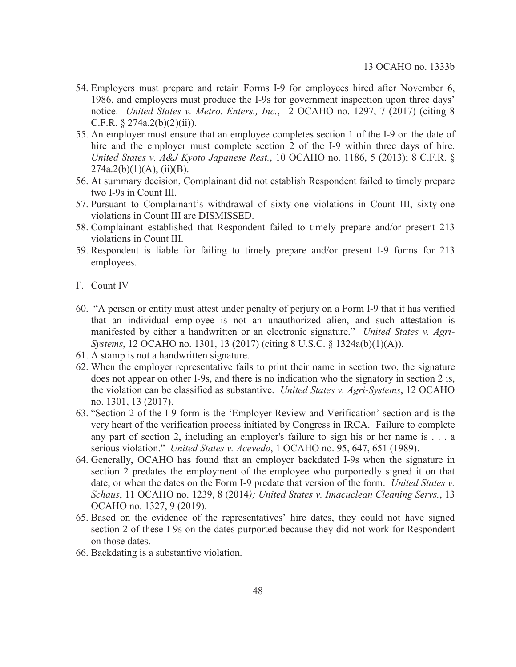- 54. Employers must prepare and retain Forms I-9 for employees hired after November 6, 1986, and employers must produce the I-9s for government inspection upon three days' notice. *United States v. Metro. Enters., Inc.*, 12 OCAHO no. 1297, 7 (2017) (citing 8 C.F.R.  $\S 274a.2(b)(2)(ii)$ ).
- 55. An employer must ensure that an employee completes section 1 of the I-9 on the date of hire and the employer must complete section 2 of the I-9 within three days of hire. *United States v. A&J Kyoto Japanese Rest.*, 10 OCAHO no. 1186, 5 (2013); 8 C.F.R. §  $274a.2(b)(1)(A), (ii)(B).$
- 56. At summary decision, Complainant did not establish Respondent failed to timely prepare two I-9s in Count III.
- 57. Pursuant to Complainant's withdrawal of sixty-one violations in Count III, sixty-one violations in Count III are DISMISSED.
- 58. Complainant established that Respondent failed to timely prepare and/or present 213 violations in Count III.
- 59. Respondent is liable for failing to timely prepare and/or present I-9 forms for 213 employees.
- F. Count IV
- 60. "A person or entity must attest under penalty of perjury on a Form I-9 that it has verified that an individual employee is not an unauthorized alien, and such attestation is manifested by either a handwritten or an electronic signature." *United States v. Agri-Systems*, 12 OCAHO no. 1301, 13 (2017) (citing 8 U.S.C. § 1324a(b)(1)(A)).
- 61. A stamp is not a handwritten signature.
- 62. When the employer representative fails to print their name in section two, the signature does not appear on other I-9s, and there is no indication who the signatory in section 2 is, the violation can be classified as substantive. *United States v. Agri-Systems*, 12 OCAHO no. 1301, 13 (2017).
- 63. "Section 2 of the I-9 form is the 'Employer Review and Verification' section and is the very heart of the verification process initiated by Congress in IRCA. Failure to complete any part of section 2, including an employer's failure to sign his or her name is . . . a serious violation." *United States v. Acevedo*, 1 OCAHO no. 95, 647, 651 (1989).
- 64. Generally, OCAHO has found that an employer backdated I-9s when the signature in section 2 predates the employment of the employee who purportedly signed it on that date, or when the dates on the Form I-9 predate that version of the form. *United States v. Schaus*, 11 OCAHO no. 1239, 8 (2014*); United States v. Imacuclean Cleaning Servs.*, 13 OCAHO no. 1327, 9 (2019).
- 65. Based on the evidence of the representatives' hire dates, they could not have signed section 2 of these I-9s on the dates purported because they did not work for Respondent on those dates.
- 66. Backdating is a substantive violation.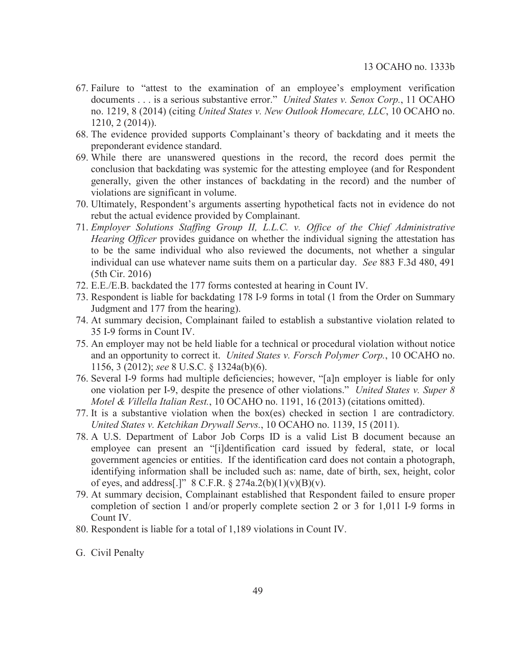- 67. Failure to "attest to the examination of an employee's employment verification documents . . . is a serious substantive error." *United States v. Senox Corp.*, 11 OCAHO no. 1219, 8 (2014) (citing *United States v. New Outlook Homecare, LLC*, 10 OCAHO no. 1210, 2 (2014)).
- 68. The evidence provided supports Complainant's theory of backdating and it meets the preponderant evidence standard.
- 69. While there are unanswered questions in the record, the record does permit the conclusion that backdating was systemic for the attesting employee (and for Respondent generally, given the other instances of backdating in the record) and the number of violations are significant in volume.
- 70. Ultimately, Respondent's arguments asserting hypothetical facts not in evidence do not rebut the actual evidence provided by Complainant.
- 71. *Employer Solutions Staffing Group II, L.L.C. v. Office of the Chief Administrative Hearing Officer* provides guidance on whether the individual signing the attestation has to be the same individual who also reviewed the documents, not whether a singular individual can use whatever name suits them on a particular day. *See* 883 F.3d 480, 491 (5th Cir. 2016)
- 72. E.E./E.B. backdated the 177 forms contested at hearing in Count IV.
- 73. Respondent is liable for backdating 178 I-9 forms in total (1 from the Order on Summary Judgment and 177 from the hearing).
- 74. At summary decision, Complainant failed to establish a substantive violation related to 35 I-9 forms in Count IV.
- 75. An employer may not be held liable for a technical or procedural violation without notice and an opportunity to correct it. *United States v. Forsch Polymer Corp.*, 10 OCAHO no. 1156, 3 (2012); *see* 8 U.S.C. § 1324a(b)(6).
- 76. Several I-9 forms had multiple deficiencies; however, "[a]n employer is liable for only one violation per I-9, despite the presence of other violations." *United States v. Super 8 Motel & Villella Italian Rest.*, 10 OCAHO no. 1191, 16 (2013) (citations omitted).
- 77. It is a substantive violation when the box(es) checked in section 1 are contradictory*. United States v. Ketchikan Drywall Servs.*, 10 OCAHO no. 1139, 15 (2011).
- 78. A U.S. Department of Labor Job Corps ID is a valid List B document because an employee can present an "[i]dentification card issued by federal, state, or local government agencies or entities. If the identification card does not contain a photograph, identifying information shall be included such as: name, date of birth, sex, height, color of eyes, and address[.]" 8 C.F.R.  $\S 274a.2(b)(1)(v)(B)(v)$ .
- 79. At summary decision, Complainant established that Respondent failed to ensure proper completion of section 1 and/or properly complete section 2 or 3 for 1,011 I-9 forms in Count IV.
- 80. Respondent is liable for a total of 1,189 violations in Count IV.
- G. Civil Penalty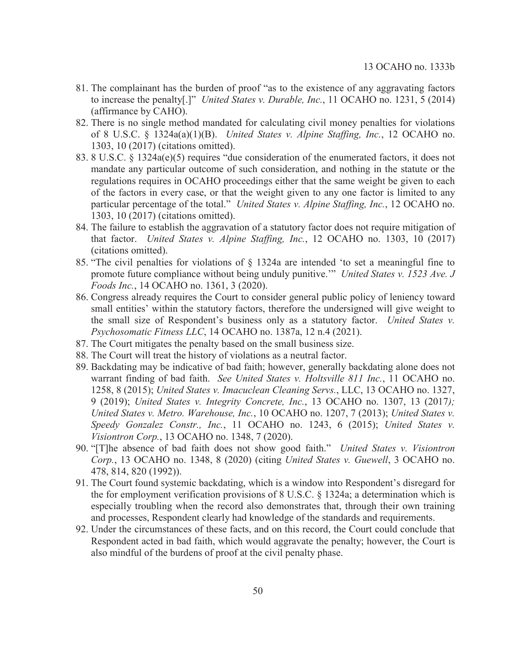- 81. The complainant has the burden of proof "as to the existence of any aggravating factors to increase the penalty[.]" *United States v. Durable, Inc.*, 11 OCAHO no. 1231, 5 (2014) (affirmance by CAHO).
- 82. There is no single method mandated for calculating civil money penalties for violations of 8 U.S.C. § 1324a(a)(1)(B). *United States v. Alpine Staffing, Inc.*, 12 OCAHO no. 1303, 10 (2017) (citations omitted).
- 83. 8 U.S.C. § 1324a(e)(5) requires "due consideration of the enumerated factors, it does not mandate any particular outcome of such consideration, and nothing in the statute or the regulations requires in OCAHO proceedings either that the same weight be given to each of the factors in every case, or that the weight given to any one factor is limited to any particular percentage of the total." *United States v. Alpine Staffing, Inc.*, 12 OCAHO no. 1303, 10 (2017) (citations omitted).
- 84. The failure to establish the aggravation of a statutory factor does not require mitigation of that factor. *United States v. Alpine Staffing, Inc.*, 12 OCAHO no. 1303, 10 (2017) (citations omitted).
- 85. "The civil penalties for violations of § 1324a are intended 'to set a meaningful fine to promote future compliance without being unduly punitive.'" *United States v. 1523 Ave. J Foods Inc.*, 14 OCAHO no. 1361, 3 (2020).
- 86. Congress already requires the Court to consider general public policy of leniency toward small entities' within the statutory factors, therefore the undersigned will give weight to the small size of Respondent's business only as a statutory factor. *United States v. Psychosomatic Fitness LLC*, 14 OCAHO no. 1387a, 12 n.4 (2021).
- 87. The Court mitigates the penalty based on the small business size.
- 88. The Court will treat the history of violations as a neutral factor.
- 89. Backdating may be indicative of bad faith; however, generally backdating alone does not warrant finding of bad faith. *See United States v. Holtsville 811 Inc.*, 11 OCAHO no. 1258, 8 (2015); *United States v. Imacuclean Cleaning Servs.*, LLC, 13 OCAHO no. 1327, 9 (2019); *United States v. Integrity Concrete, Inc.*, 13 OCAHO no. 1307, 13 (2017*); United States v. Metro. Warehouse, Inc.*, 10 OCAHO no. 1207, 7 (2013); *United States v. Speedy Gonzalez Constr., Inc.*, 11 OCAHO no. 1243, 6 (2015); *United States v. Visiontron Corp.*, 13 OCAHO no. 1348, 7 (2020).
- 90. "[T]he absence of bad faith does not show good faith." *United States v. Visiontron Corp.*, 13 OCAHO no. 1348, 8 (2020) (citing *United States v. Guewell*, 3 OCAHO no. 478, 814, 820 (1992)).
- 91. The Court found systemic backdating, which is a window into Respondent's disregard for the for employment verification provisions of 8 U.S.C. § 1324a; a determination which is especially troubling when the record also demonstrates that, through their own training and processes, Respondent clearly had knowledge of the standards and requirements.
- 92. Under the circumstances of these facts, and on this record, the Court could conclude that Respondent acted in bad faith, which would aggravate the penalty; however, the Court is also mindful of the burdens of proof at the civil penalty phase.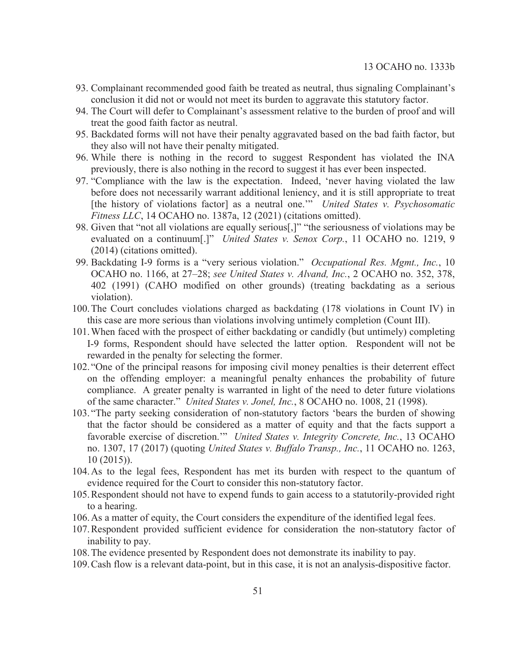- 93. Complainant recommended good faith be treated as neutral, thus signaling Complainant's conclusion it did not or would not meet its burden to aggravate this statutory factor.
- 94. The Court will defer to Complainant's assessment relative to the burden of proof and will treat the good faith factor as neutral.
- 95. Backdated forms will not have their penalty aggravated based on the bad faith factor, but they also will not have their penalty mitigated.
- 96. While there is nothing in the record to suggest Respondent has violated the INA previously, there is also nothing in the record to suggest it has ever been inspected.
- 97. "Compliance with the law is the expectation. Indeed, 'never having violated the law before does not necessarily warrant additional leniency, and it is still appropriate to treat [the history of violations factor] as a neutral one.'" *United States v. Psychosomatic Fitness LLC*, 14 OCAHO no. 1387a, 12 (2021) (citations omitted).
- 98. Given that "not all violations are equally serious[,]" "the seriousness of violations may be evaluated on a continuum[.]" *United States v. Senox Corp.*, 11 OCAHO no. 1219, 9 (2014) (citations omitted).
- 99. Backdating I-9 forms is a "very serious violation." *Occupational Res. Mgmt., Inc.*, 10 OCAHO no. 1166, at 27–28; *see United States v. Alvand, Inc.*, 2 OCAHO no. 352, 378, 402 (1991) (CAHO modified on other grounds) (treating backdating as a serious violation).
- 100.The Court concludes violations charged as backdating (178 violations in Count IV) in this case are more serious than violations involving untimely completion (Count III).
- 101.When faced with the prospect of either backdating or candidly (but untimely) completing I-9 forms, Respondent should have selected the latter option. Respondent will not be rewarded in the penalty for selecting the former.
- 102. "One of the principal reasons for imposing civil money penalties is their deterrent effect on the offending employer: a meaningful penalty enhances the probability of future compliance. A greater penalty is warranted in light of the need to deter future violations of the same character." *United States v. Jonel, Inc.*, 8 OCAHO no. 1008, 21 (1998).
- 103. "The party seeking consideration of non-statutory factors 'bears the burden of showing that the factor should be considered as a matter of equity and that the facts support a favorable exercise of discretion.'" *United States v. Integrity Concrete, Inc.*, 13 OCAHO no. 1307, 17 (2017) (quoting *United States v. Buffalo Transp., Inc.*, 11 OCAHO no. 1263, 10 (2015)).
- 104.As to the legal fees, Respondent has met its burden with respect to the quantum of evidence required for the Court to consider this non-statutory factor.
- 105.Respondent should not have to expend funds to gain access to a statutorily-provided right to a hearing.
- 106.As a matter of equity, the Court considers the expenditure of the identified legal fees.
- 107.Respondent provided sufficient evidence for consideration the non-statutory factor of inability to pay.
- 108.The evidence presented by Respondent does not demonstrate its inability to pay.
- 109.Cash flow is a relevant data-point, but in this case, it is not an analysis-dispositive factor.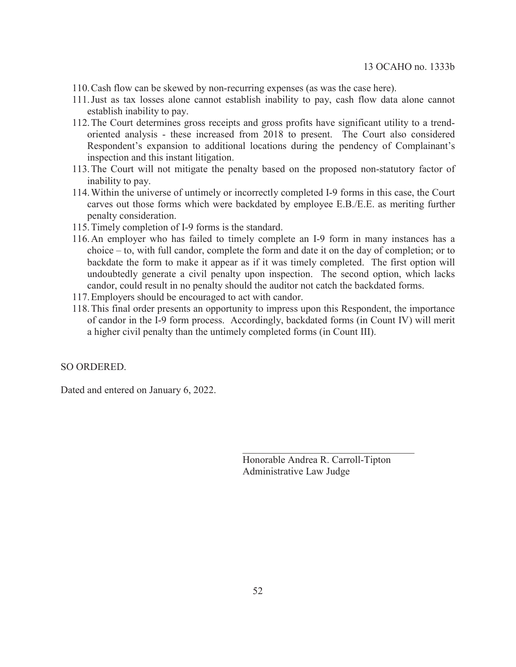- 110.Cash flow can be skewed by non-recurring expenses (as was the case here).
- 111.Just as tax losses alone cannot establish inability to pay, cash flow data alone cannot establish inability to pay.
- 112.The Court determines gross receipts and gross profits have significant utility to a trendoriented analysis - these increased from 2018 to present. The Court also considered Respondent's expansion to additional locations during the pendency of Complainant's inspection and this instant litigation.
- 113.The Court will not mitigate the penalty based on the proposed non-statutory factor of inability to pay.
- 114.Within the universe of untimely or incorrectly completed I-9 forms in this case, the Court carves out those forms which were backdated by employee E.B./E.E. as meriting further penalty consideration.
- 115.Timely completion of I-9 forms is the standard.
- 116.An employer who has failed to timely complete an I-9 form in many instances has a choice – to, with full candor, complete the form and date it on the day of completion; or to backdate the form to make it appear as if it was timely completed. The first option will undoubtedly generate a civil penalty upon inspection. The second option, which lacks candor, could result in no penalty should the auditor not catch the backdated forms.
- 117.Employers should be encouraged to act with candor.
- 118.This final order presents an opportunity to impress upon this Respondent, the importance of candor in the I-9 form process. Accordingly, backdated forms (in Count IV) will merit a higher civil penalty than the untimely completed forms (in Count III).

#### SO ORDERED.

Dated and entered on January 6, 2022.

 Honorable Andrea R. Carroll-Tipton Administrative Law Judge